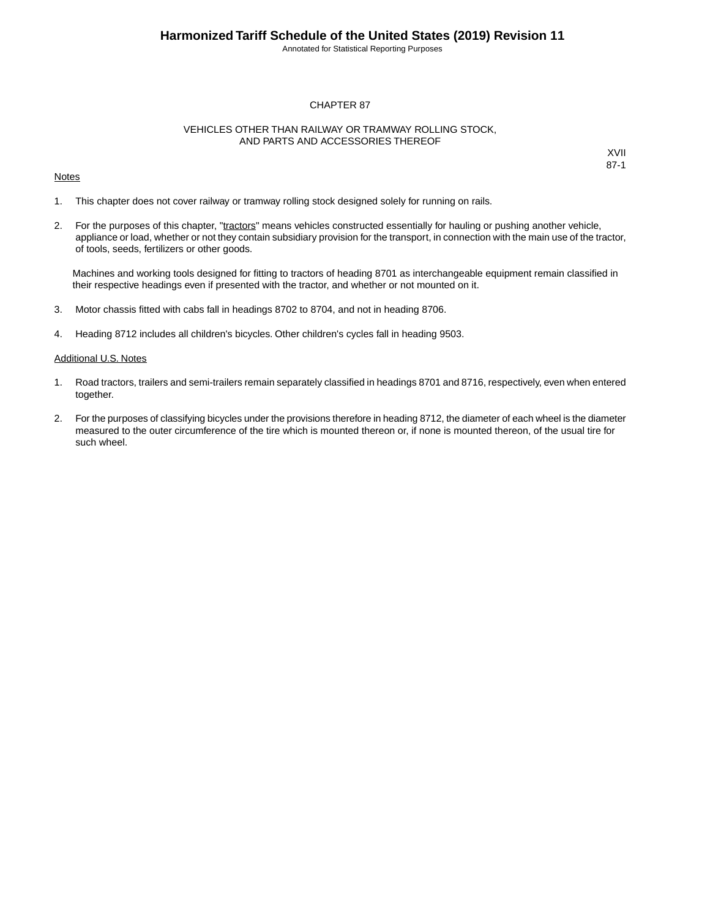Annotated for Statistical Reporting Purposes

XVII 87-1

#### CHAPTER 87

#### VEHICLES OTHER THAN RAILWAY OR TRAMWAY ROLLING STOCK, AND PARTS AND ACCESSORIES THEREOF

#### **Notes**

1. This chapter does not cover railway or tramway rolling stock designed solely for running on rails.

2. For the purposes of this chapter, "tractors" means vehicles constructed essentially for hauling or pushing another vehicle, appliance or load, whether or not they contain subsidiary provision for the transport, in connection with the main use of the tractor, of tools, seeds, fertilizers or other goods.

Machines and working tools designed for fitting to tractors of heading 8701 as interchangeable equipment remain classified in their respective headings even if presented with the tractor, and whether or not mounted on it.

- 3. Motor chassis fitted with cabs fall in headings 8702 to 8704, and not in heading 8706.
- 4. Heading 8712 includes all children's bicycles. Other children's cycles fall in heading 9503.

#### Additional U.S. Notes

- 1. Road tractors, trailers and semi-trailers remain separately classified in headings 8701 and 8716, respectively, even when entered together.
- 2. For the purposes of classifying bicycles under the provisions therefore in heading 8712, the diameter of each wheel is the diameter measured to the outer circumference of the tire which is mounted thereon or, if none is mounted thereon, of the usual tire for such wheel.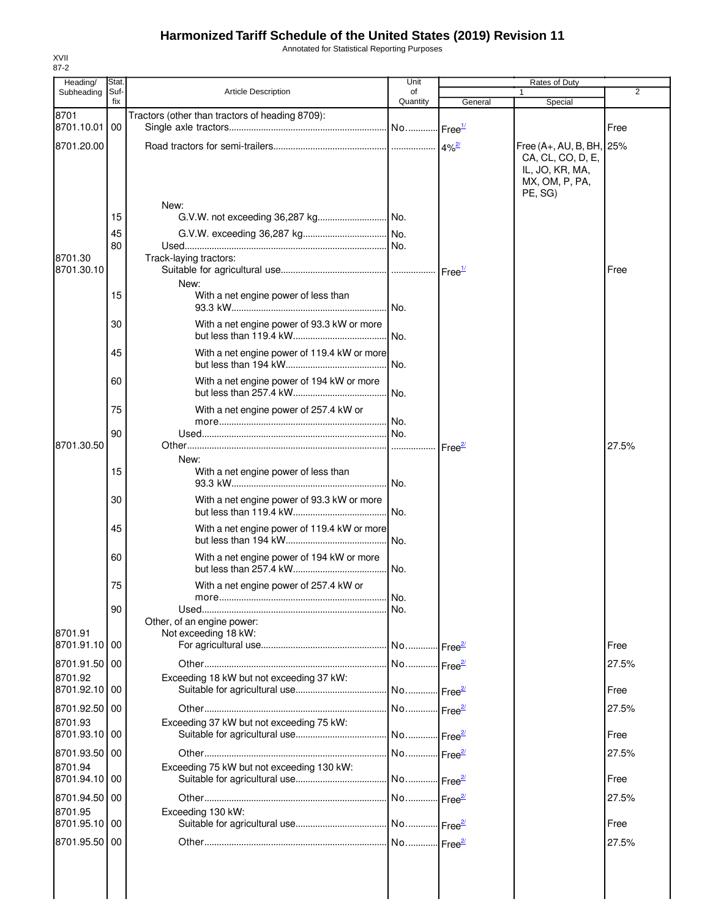Annotated for Statistical Reporting Purposes

| Heading/                 | Stat.       |                                                 | Unit           |                    | Rates of Duty                                                                                 |       |
|--------------------------|-------------|-------------------------------------------------|----------------|--------------------|-----------------------------------------------------------------------------------------------|-------|
| Subheading               | Suf-<br>fix | <b>Article Description</b>                      | of<br>Quantity | General            | $\mathbf{1}$<br>Special                                                                       | 2     |
| 8701                     |             | Tractors (other than tractors of heading 8709): |                |                    |                                                                                               |       |
| 8701.10.01               | 00          |                                                 |                |                    |                                                                                               | Free  |
| 8701.20.00               |             |                                                 |                | $4%^{2/2}$         | Free (A+, AU, B, BH, 25%<br>CA, CL, CO, D, E,<br>IL, JO, KR, MA,<br>MX, OM, P, PA,<br>PE, SG) |       |
|                          |             | New:                                            |                |                    |                                                                                               |       |
|                          | 15          |                                                 |                |                    |                                                                                               |       |
|                          | 45          |                                                 |                |                    |                                                                                               |       |
| 8701.30                  | 80          |                                                 |                |                    |                                                                                               |       |
| 8701.30.10               |             | Track-laying tractors:                          |                | Free $\frac{1}{2}$ |                                                                                               | Free  |
|                          |             | New:                                            |                |                    |                                                                                               |       |
|                          | 15          | With a net engine power of less than            |                |                    |                                                                                               |       |
|                          | 30          | With a net engine power of 93.3 kW or more      |                |                    |                                                                                               |       |
|                          | 45          | With a net engine power of 119.4 kW or more     |                |                    |                                                                                               |       |
|                          | 60          | With a net engine power of 194 kW or more       |                |                    |                                                                                               |       |
|                          | 75          | With a net engine power of 257.4 kW or          |                |                    |                                                                                               |       |
|                          | 90          |                                                 |                |                    |                                                                                               |       |
| 8701.30.50               |             |                                                 |                | Free <sup>21</sup> |                                                                                               | 27.5% |
|                          | 15          | New:<br>With a net engine power of less than    |                |                    |                                                                                               |       |
|                          | 30          | With a net engine power of 93.3 kW or more      |                |                    |                                                                                               |       |
|                          | 45          | With a net engine power of 119.4 kW or more     |                |                    |                                                                                               |       |
|                          | 60          | With a net engine power of 194 kW or more       | No.            |                    |                                                                                               |       |
|                          | 75          | With a net engine power of 257.4 kW or          |                |                    |                                                                                               |       |
|                          | 90          |                                                 |                |                    |                                                                                               |       |
|                          |             | Other, of an engine power:                      |                |                    |                                                                                               |       |
| 8701.91                  |             | Not exceeding 18 kW:                            |                |                    |                                                                                               |       |
| 8701.91.10 00            |             |                                                 |                |                    |                                                                                               | Free  |
| 8701.91.50 00            |             |                                                 |                |                    |                                                                                               | 27.5% |
| 8701.92<br>8701.92.10 00 |             | Exceeding 18 kW but not exceeding 37 kW:        |                |                    |                                                                                               | Free  |
| 8701.92.50 00            |             |                                                 |                |                    |                                                                                               | 27.5% |
| 8701.93                  |             | Exceeding 37 kW but not exceeding 75 kW:        |                |                    |                                                                                               |       |
| 8701.93.10 00            |             |                                                 |                |                    |                                                                                               | Free  |
| 8701.93.50 00            |             |                                                 |                |                    |                                                                                               | 27.5% |
| 8701.94<br>8701.94.10 00 |             | Exceeding 75 kW but not exceeding 130 kW:       |                |                    |                                                                                               | Free  |
| 8701.94.50 00            |             |                                                 |                |                    |                                                                                               | 27.5% |
| 8701.95                  |             | Exceeding 130 kW:                               |                |                    |                                                                                               |       |
| 8701.95.10 00            |             |                                                 |                |                    |                                                                                               | Free  |
| 8701.95.50 00            |             |                                                 |                |                    |                                                                                               | 27.5% |
|                          |             |                                                 |                |                    |                                                                                               |       |
|                          |             |                                                 |                |                    |                                                                                               |       |
|                          |             |                                                 |                |                    |                                                                                               |       |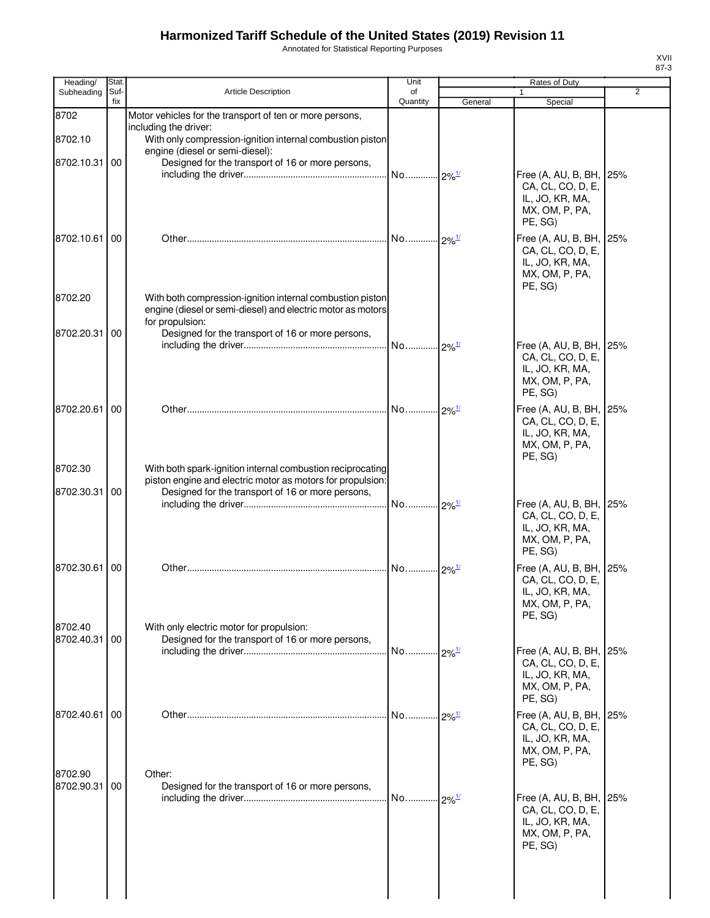Annotated for Statistical Reporting Purposes

| Heading/              | Stat.       |                                                                                                                                                                               | Unit                |                      | Rates of Duty                                                                                |                |
|-----------------------|-------------|-------------------------------------------------------------------------------------------------------------------------------------------------------------------------------|---------------------|----------------------|----------------------------------------------------------------------------------------------|----------------|
| Subheading            | Suf-<br>fix | <b>Article Description</b>                                                                                                                                                    | of<br>Quantity      | General              | $\mathbf{1}$<br>Special                                                                      | $\overline{2}$ |
| 8702                  |             | Motor vehicles for the transport of ten or more persons,                                                                                                                      |                     |                      |                                                                                              |                |
| 8702.10               |             | including the driver:<br>With only compression-ignition internal combustion piston<br>engine (diesel or semi-diesel):                                                         |                     |                      |                                                                                              |                |
| 8702.10.31            | 00          | Designed for the transport of 16 or more persons,                                                                                                                             |                     |                      | Free (A, AU, B, BH, 25%                                                                      |                |
|                       |             |                                                                                                                                                                               |                     |                      | CA, CL, CO, D, E,<br>IL, JO, KR, MA,<br>MX, OM, P, PA,<br>PE, SG)                            |                |
| 8702.10.61            | 00          |                                                                                                                                                                               |                     |                      | Free (A, AU, B, BH, 25%<br>CA, CL, CO, D, E,<br>IL, JO, KR, MA,<br>MX, OM, P, PA,<br>PE, SG) |                |
| 8702.20               |             | With both compression-ignition internal combustion piston<br>engine (diesel or semi-diesel) and electric motor as motors<br>for propulsion:                                   |                     |                      |                                                                                              |                |
| 8702.20.31            | 00          | Designed for the transport of 16 or more persons,                                                                                                                             |                     |                      |                                                                                              |                |
|                       |             |                                                                                                                                                                               |                     |                      | Free (A, AU, B, BH, 25%<br>CA, CL, CO, D, E,<br>IL, JO, KR, MA,<br>MX, OM, P, PA,<br>PE, SG) |                |
| 8702.20.61 00         |             |                                                                                                                                                                               |                     | $.9\%$ <sup>1/</sup> | Free (A, AU, B, BH, 25%<br>CA, CL, CO, D, E,<br>IL, JO, KR, MA,<br>MX, OM, P, PA,<br>PE, SG) |                |
| 8702.30<br>8702.30.31 | 00          | With both spark-ignition internal combustion reciprocating<br>piston engine and electric motor as motors for propulsion:<br>Designed for the transport of 16 or more persons, |                     |                      |                                                                                              |                |
|                       |             |                                                                                                                                                                               |                     |                      | Free (A, AU, B, BH, 25%<br>CA, CL, CO, D, E,<br>IL, JO, KR, MA,<br>MX, OM, P, PA,<br>PE, SG) |                |
| 8702.30.61 00         |             |                                                                                                                                                                               |                     |                      | Free (A, AU, B, BH, 25%<br>CA, CL, CO, D, E,<br>IL, JO, KR, MA,<br>MX, OM, P, PA,<br>PE, SG) |                |
| 8702.40               |             | With only electric motor for propulsion:                                                                                                                                      |                     |                      |                                                                                              |                |
| 8702.40.31            | 00          | Designed for the transport of 16 or more persons,                                                                                                                             |                     |                      | Free (A, AU, B, BH, 25%                                                                      |                |
|                       |             |                                                                                                                                                                               |                     |                      | CA, CL, CO, D, E,<br>IL, JO, KR, MA,<br>MX, OM, P, PA,<br>PE, SG)                            |                |
| 8702.40.61            | 00          |                                                                                                                                                                               | No 2% <sup>1/</sup> |                      | Free (A, AU, B, BH, 25%<br>CA, CL, CO, D, E,<br>IL, JO, KR, MA,<br>MX, OM, P, PA,<br>PE, SG) |                |
| 8702.90<br>8702.90.31 | 00          | Other:<br>Designed for the transport of 16 or more persons,                                                                                                                   | No 2% <sup>1/</sup> |                      | Free (A, AU, B, BH, 25%                                                                      |                |
|                       |             |                                                                                                                                                                               |                     |                      | CA, CL, CO, D, E,<br>IL, JO, KR, MA,<br>MX, OM, P, PA,<br>PE, SG)                            |                |
|                       |             |                                                                                                                                                                               |                     |                      |                                                                                              |                |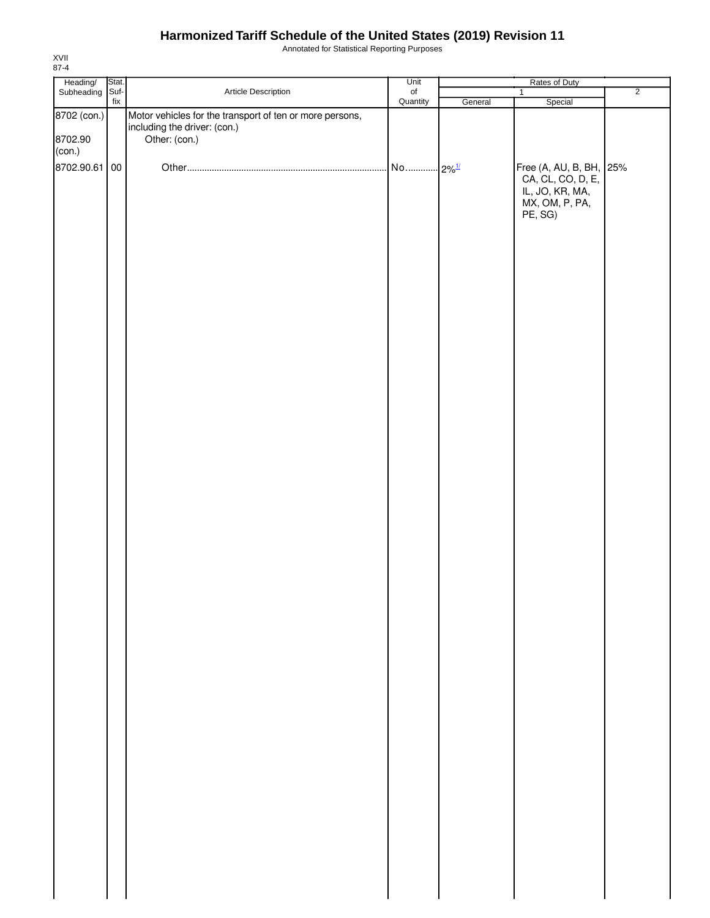Annotated for Statistical Reporting Purposes

| Heading/<br>Subheading  | Stat.                    |                                                                                                           | Unit                |         | Rates of Duty                                                                                |                |
|-------------------------|--------------------------|-----------------------------------------------------------------------------------------------------------|---------------------|---------|----------------------------------------------------------------------------------------------|----------------|
|                         | Suf-                     | Article Description                                                                                       | $_{\mathsf{of}}$    |         | $\mathbf{1}$                                                                                 | $\overline{2}$ |
| 8702 (con.)<br>8702.90  | $\operatorname{\sf fix}$ | Motor vehicles for the transport of ten or more persons,<br>including the driver: (con.)<br>Other: (con.) | Quantity            | General | Special                                                                                      |                |
| (con.)<br>8702.90.61 00 |                          |                                                                                                           | No 2% <sup>1/</sup> |         | Free (A, AU, B, BH, 25%<br>CA, CL, CO, D, E,<br>IL, JO, KR, MA,<br>MX, OM, P, PA,<br>PE, SG) |                |
|                         |                          |                                                                                                           |                     |         |                                                                                              |                |
|                         |                          |                                                                                                           |                     |         |                                                                                              |                |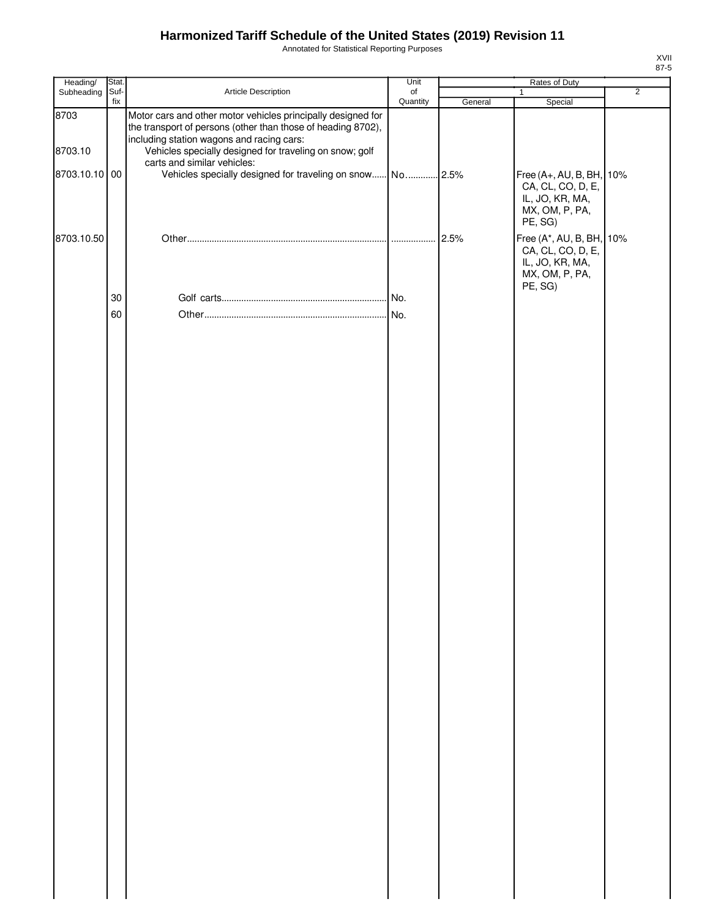Annotated for Statistical Reporting Purposes

| Heading/        | Stat.       |                                                                                                                                                                                                                                      | Unit      |         | Rates of Duty                                                                                 |                |
|-----------------|-------------|--------------------------------------------------------------------------------------------------------------------------------------------------------------------------------------------------------------------------------------|-----------|---------|-----------------------------------------------------------------------------------------------|----------------|
| Subheading      | Suf-<br>fix | Article Description                                                                                                                                                                                                                  | $\circ$ f |         | $\mathbf{1}$                                                                                  | $\overline{2}$ |
| 8703<br>8703.10 |             | Motor cars and other motor vehicles principally designed for<br>the transport of persons (other than those of heading 8702),<br>including station wagons and racing cars:<br>Vehicles specially designed for traveling on snow; golf | Quantity  | General | Special                                                                                       |                |
|                 |             | carts and similar vehicles:                                                                                                                                                                                                          |           |         |                                                                                               |                |
| 8703.10.10 00   |             | Vehicles specially designed for traveling on snow No 2.5%                                                                                                                                                                            |           |         | Free (A+, AU, B, BH,<br>CA, CL, CO, D, E,<br>IL, JO, KR, MA,<br>MX, OM, P, PA,<br>PE, SG)     | 10%            |
| 8703.10.50      |             |                                                                                                                                                                                                                                      |           |         | Free (A*, AU, B, BH, 10%<br>CA, CL, CO, D, E,<br>IL, JO, KR, MA,<br>MX, OM, P, PA,<br>PE, SG) |                |
|                 | 30          |                                                                                                                                                                                                                                      |           |         |                                                                                               |                |
|                 | 60          |                                                                                                                                                                                                                                      |           |         |                                                                                               |                |
|                 |             |                                                                                                                                                                                                                                      |           |         |                                                                                               |                |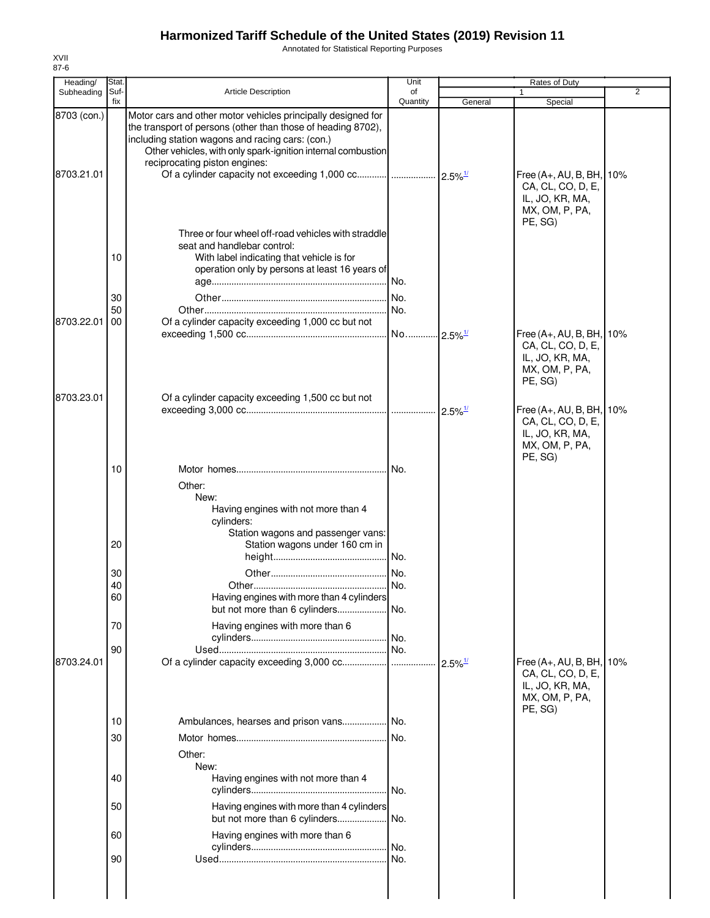Annotated for Statistical Reporting Purposes

| Heading/                  | Stat.                            |                                                                                                                                                                                                                                                                                   | Unit                                          |                       | Rates of Duty                                                                                 |   |
|---------------------------|----------------------------------|-----------------------------------------------------------------------------------------------------------------------------------------------------------------------------------------------------------------------------------------------------------------------------------|-----------------------------------------------|-----------------------|-----------------------------------------------------------------------------------------------|---|
| Subheading                | Suf-<br>fix                      | <b>Article Description</b>                                                                                                                                                                                                                                                        | of<br>Quantity                                | General               | Special                                                                                       | 2 |
| 8703 (con.)<br>8703.21.01 |                                  | Motor cars and other motor vehicles principally designed for<br>the transport of persons (other than those of heading 8702),<br>including station wagons and racing cars: (con.)<br>Other vehicles, with only spark-ignition internal combustion<br>reciprocating piston engines: |                                               |                       | Free (A+, AU, B, BH, 10%<br>CA, CL, CO, D, E,<br>IL, JO, KR, MA,<br>MX, OM, P, PA,<br>PE, SG) |   |
| 8703.22.01                | 10<br>30<br>50<br>00             | Three or four wheel off-road vehicles with straddle<br>seat and handlebar control:<br>With label indicating that vehicle is for<br>operation only by persons at least 16 years of<br>Of a cylinder capacity exceeding 1,000 cc but not                                            | .l No.<br>No.<br>No.<br>No 2.5% <sup>1/</sup> |                       | Free (A+, AU, B, BH, 10%<br>CA, CL, CO, D, E,<br>IL, JO, KR, MA,<br>MX, OM, P, PA,            |   |
| 8703.23.01                |                                  | Of a cylinder capacity exceeding 1,500 cc but not                                                                                                                                                                                                                                 |                                               |                       | PE, SG)<br>Free (A+, AU, B, BH, 10%<br>CA, CL, CO, D, E,<br>IL, JO, KR, MA,<br>MX, OM, P, PA, |   |
|                           | 10                               | Other:<br>New:<br>Having engines with not more than 4<br>cylinders:<br>Station wagons and passenger vans:<br>Station wagons under 160 cm in                                                                                                                                       |                                               |                       | PE, SG)                                                                                       |   |
|                           | 20<br>30<br>40<br>60             | Having engines with more than 4 cylinders<br>but not more than 6 cylinders                                                                                                                                                                                                        | No.<br>No.<br>No.                             |                       |                                                                                               |   |
| 8703.24.01                | 70<br>90                         | Having engines with more than 6<br>Of a cylinder capacity exceeding 3,000 cc                                                                                                                                                                                                      | No.                                           | $2.5\%$ <sup>1/</sup> | Free (A+, AU, B, BH, 10%                                                                      |   |
|                           | 10<br>30<br>40<br>50<br>60<br>90 | Ambulances, hearses and prison vans<br>Other:<br>New:<br>Having engines with not more than 4<br>Having engines with more than 4 cylinders<br>but not more than 6 cylinders<br>Having engines with more than 6                                                                     | No.<br>No.<br>No.<br>No.<br>No.<br>No.        |                       | CA, CL, CO, D, E,<br>IL, JO, KR, MA,<br>MX, OM, P, PA,<br>PE, SG)                             |   |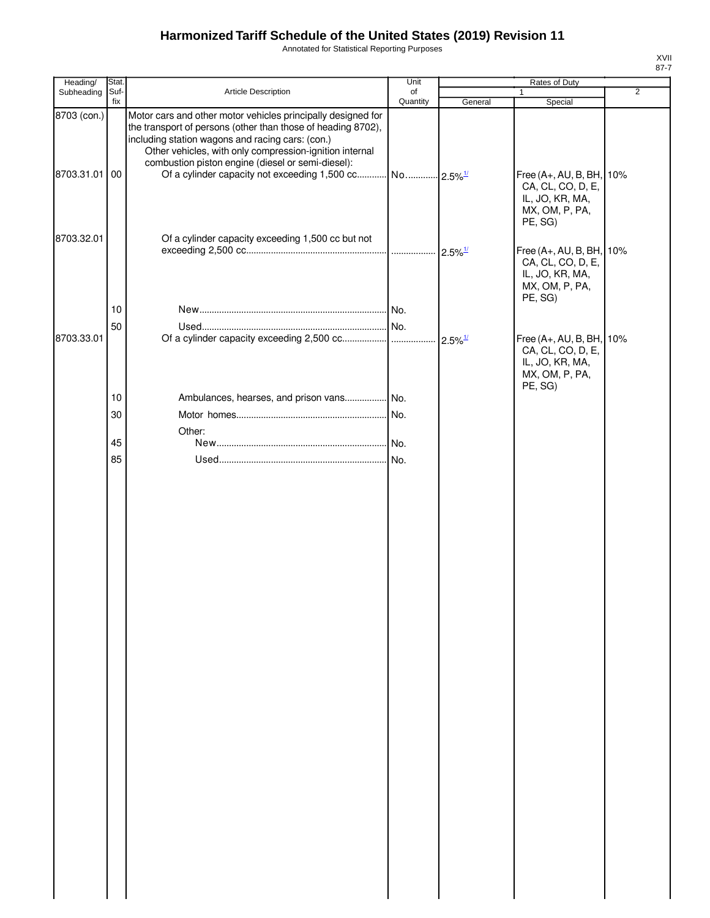Annotated for Statistical Reporting Purposes

| v |  |
|---|--|

| Heading/                     | Stat.       |                                                                                                                                                                                                                                                                                                  | Unit           |         | Rates of Duty                                                                                 |                |
|------------------------------|-------------|--------------------------------------------------------------------------------------------------------------------------------------------------------------------------------------------------------------------------------------------------------------------------------------------------|----------------|---------|-----------------------------------------------------------------------------------------------|----------------|
| Subheading                   | Suf-<br>fix | Article Description                                                                                                                                                                                                                                                                              | of<br>Quantity | General | $\mathbf{1}$<br>Special                                                                       | $\overline{2}$ |
| 8703 (con.)<br>8703.31.01 00 |             | Motor cars and other motor vehicles principally designed for<br>the transport of persons (other than those of heading 8702),<br>including station wagons and racing cars: (con.)<br>Other vehicles, with only compression-ignition internal<br>combustion piston engine (diesel or semi-diesel): |                |         | Free (A+, AU, B, BH, 10%<br>CA, CL, CO, D, E,<br>IL, JO, KR, MA,<br>MX, OM, P, PA,<br>PE, SG) |                |
| 8703.32.01                   |             | Of a cylinder capacity exceeding 1,500 cc but not                                                                                                                                                                                                                                                |                |         | Free (A+, AU, B, BH, 10%<br>CA, CL, CO, D, E,<br>IL, JO, KR, MA,<br>MX, OM, P, PA,<br>PE, SG) |                |
|                              | 10          |                                                                                                                                                                                                                                                                                                  |                |         |                                                                                               |                |
|                              | 50          |                                                                                                                                                                                                                                                                                                  |                |         |                                                                                               |                |
| 8703.33.01                   |             |                                                                                                                                                                                                                                                                                                  |                |         | Free (A+, AU, B, BH, 10%<br>CA, CL, CO, D, E,<br>IL, JO, KR, MA,<br>MX, OM, P, PA,<br>PE, SG) |                |
|                              | 10          | Ambulances, hearses, and prison vans No.                                                                                                                                                                                                                                                         |                |         |                                                                                               |                |
|                              | 30          |                                                                                                                                                                                                                                                                                                  |                |         |                                                                                               |                |
|                              |             | Other:                                                                                                                                                                                                                                                                                           |                |         |                                                                                               |                |
|                              | 45          |                                                                                                                                                                                                                                                                                                  |                |         |                                                                                               |                |
|                              | 85          |                                                                                                                                                                                                                                                                                                  | No.            |         |                                                                                               |                |
|                              |             |                                                                                                                                                                                                                                                                                                  |                |         |                                                                                               |                |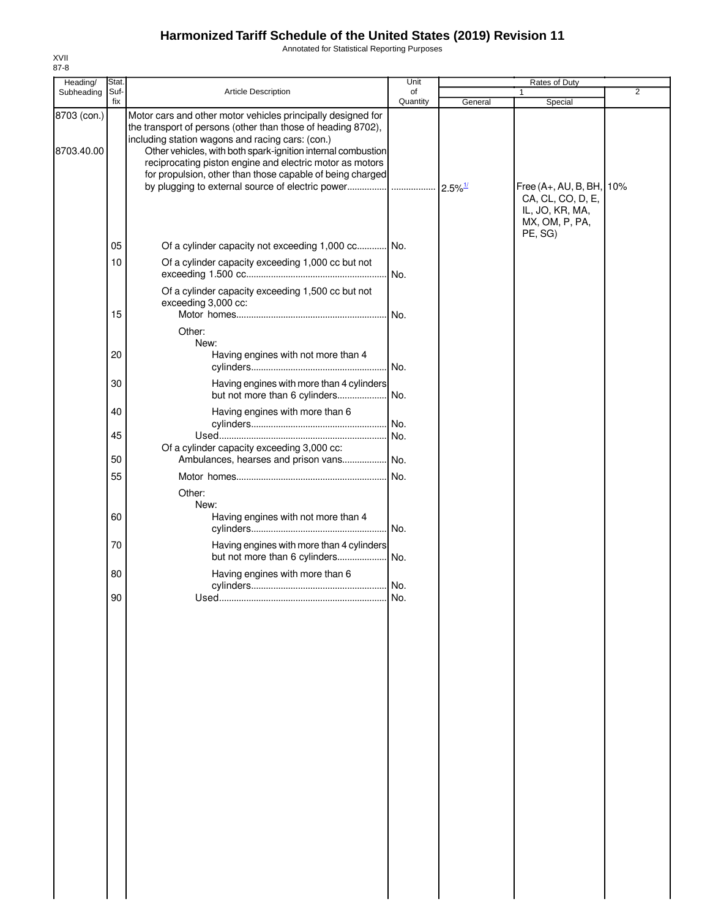Annotated for Statistical Reporting Purposes

| Heading/                  | Stat. |                                                                                                                                                                                                                                                                                                                                                                           | Unit     |         | Rates of Duty                                                                    |                |
|---------------------------|-------|---------------------------------------------------------------------------------------------------------------------------------------------------------------------------------------------------------------------------------------------------------------------------------------------------------------------------------------------------------------------------|----------|---------|----------------------------------------------------------------------------------|----------------|
| Subheading                | Suf-  | Article Description                                                                                                                                                                                                                                                                                                                                                       | of       |         |                                                                                  | $\overline{2}$ |
|                           | fix   |                                                                                                                                                                                                                                                                                                                                                                           | Quantity | General | Special                                                                          |                |
| 8703 (con.)<br>8703.40.00 |       | Motor cars and other motor vehicles principally designed for<br>the transport of persons (other than those of heading 8702),<br>including station wagons and racing cars: (con.)<br>Other vehicles, with both spark-ignition internal combustion<br>reciprocating piston engine and electric motor as motors<br>for propulsion, other than those capable of being charged |          |         | Free $(A+, AU, B, BH,$<br>CA, CL, CO, D, E,<br>IL, JO, KR, MA,<br>MX, OM, P, PA, | 10%            |
|                           | 05    | Of a cylinder capacity not exceeding 1,000 cc No.                                                                                                                                                                                                                                                                                                                         |          |         | PE, SG)                                                                          |                |
|                           | 10    | Of a cylinder capacity exceeding 1,000 cc but not                                                                                                                                                                                                                                                                                                                         | . No.    |         |                                                                                  |                |
|                           | 15    | Of a cylinder capacity exceeding 1,500 cc but not<br>exceeding 3,000 cc:                                                                                                                                                                                                                                                                                                  | No.      |         |                                                                                  |                |
|                           |       | Other:                                                                                                                                                                                                                                                                                                                                                                    |          |         |                                                                                  |                |
|                           | 20    | New:<br>Having engines with not more than 4                                                                                                                                                                                                                                                                                                                               |          |         |                                                                                  |                |
|                           | 30    | Having engines with more than 4 cylinders<br>but not more than 6 cylinders                                                                                                                                                                                                                                                                                                | No.      |         |                                                                                  |                |
|                           | 40    | Having engines with more than 6                                                                                                                                                                                                                                                                                                                                           |          |         |                                                                                  |                |
|                           | 45    | Of a cylinder capacity exceeding 3,000 cc:                                                                                                                                                                                                                                                                                                                                | No.      |         |                                                                                  |                |
|                           | 50    | Ambulances, hearses and prison vans No.                                                                                                                                                                                                                                                                                                                                   |          |         |                                                                                  |                |
|                           | 55    |                                                                                                                                                                                                                                                                                                                                                                           | No.      |         |                                                                                  |                |
|                           | 60    | Other:<br>New:<br>Having engines with not more than 4                                                                                                                                                                                                                                                                                                                     |          |         |                                                                                  |                |
|                           | 70    | Having engines with more than 4 cylinders                                                                                                                                                                                                                                                                                                                                 |          |         |                                                                                  |                |
|                           | 80    | Having engines with more than 6                                                                                                                                                                                                                                                                                                                                           |          |         |                                                                                  |                |
|                           | 90    |                                                                                                                                                                                                                                                                                                                                                                           | No.      |         |                                                                                  |                |
|                           |       |                                                                                                                                                                                                                                                                                                                                                                           |          |         |                                                                                  |                |
|                           |       |                                                                                                                                                                                                                                                                                                                                                                           |          |         |                                                                                  |                |
|                           |       |                                                                                                                                                                                                                                                                                                                                                                           |          |         |                                                                                  |                |
|                           |       |                                                                                                                                                                                                                                                                                                                                                                           |          |         |                                                                                  |                |
|                           |       |                                                                                                                                                                                                                                                                                                                                                                           |          |         |                                                                                  |                |
|                           |       |                                                                                                                                                                                                                                                                                                                                                                           |          |         |                                                                                  |                |
|                           |       |                                                                                                                                                                                                                                                                                                                                                                           |          |         |                                                                                  |                |
|                           |       |                                                                                                                                                                                                                                                                                                                                                                           |          |         |                                                                                  |                |
|                           |       |                                                                                                                                                                                                                                                                                                                                                                           |          |         |                                                                                  |                |
|                           |       |                                                                                                                                                                                                                                                                                                                                                                           |          |         |                                                                                  |                |
|                           |       |                                                                                                                                                                                                                                                                                                                                                                           |          |         |                                                                                  |                |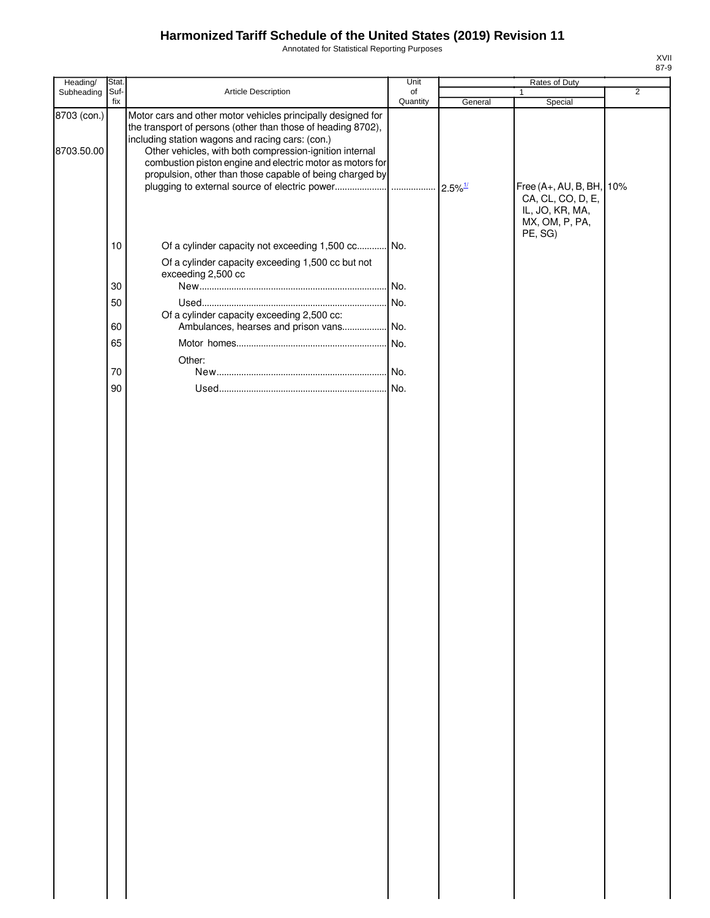Annotated for Statistical Reporting Purposes

| Heading/                  | Stat. |                                                                                                                                                                                                                                                                                                                                                                      | Unit     |         | Rates of Duty                                                                                 |                |
|---------------------------|-------|----------------------------------------------------------------------------------------------------------------------------------------------------------------------------------------------------------------------------------------------------------------------------------------------------------------------------------------------------------------------|----------|---------|-----------------------------------------------------------------------------------------------|----------------|
| Subheading                | Suf-  | Article Description                                                                                                                                                                                                                                                                                                                                                  | of       |         | 1                                                                                             | $\overline{2}$ |
| 8703 (con.)<br>8703.50.00 | fix   | Motor cars and other motor vehicles principally designed for<br>the transport of persons (other than those of heading 8702),<br>including station wagons and racing cars: (con.)<br>Other vehicles, with both compression-ignition internal<br>combustion piston engine and electric motor as motors for<br>propulsion, other than those capable of being charged by | Quantity | General | Special<br>Free (A+, AU, B, BH, 10%<br>CA, CL, CO, D, E,<br>IL, JO, KR, MA,<br>MX, OM, P, PA, |                |
|                           | 10    | Of a cylinder capacity not exceeding 1,500 cc No.                                                                                                                                                                                                                                                                                                                    |          |         | PE, SG)                                                                                       |                |
|                           |       | Of a cylinder capacity exceeding 1,500 cc but not<br>exceeding 2,500 cc                                                                                                                                                                                                                                                                                              |          |         |                                                                                               |                |
|                           | 30    |                                                                                                                                                                                                                                                                                                                                                                      | No.      |         |                                                                                               |                |
|                           | 50    |                                                                                                                                                                                                                                                                                                                                                                      | No.      |         |                                                                                               |                |
|                           |       | Of a cylinder capacity exceeding 2,500 cc:                                                                                                                                                                                                                                                                                                                           |          |         |                                                                                               |                |
|                           | 60    | Ambulances, hearses and prison vans No.                                                                                                                                                                                                                                                                                                                              |          |         |                                                                                               |                |
|                           | 65    |                                                                                                                                                                                                                                                                                                                                                                      |          |         |                                                                                               |                |
|                           |       | Other:                                                                                                                                                                                                                                                                                                                                                               |          |         |                                                                                               |                |
|                           | 70    |                                                                                                                                                                                                                                                                                                                                                                      |          |         |                                                                                               |                |
|                           |       |                                                                                                                                                                                                                                                                                                                                                                      |          |         |                                                                                               |                |
|                           | 90    |                                                                                                                                                                                                                                                                                                                                                                      |          |         |                                                                                               |                |
|                           |       |                                                                                                                                                                                                                                                                                                                                                                      |          |         |                                                                                               |                |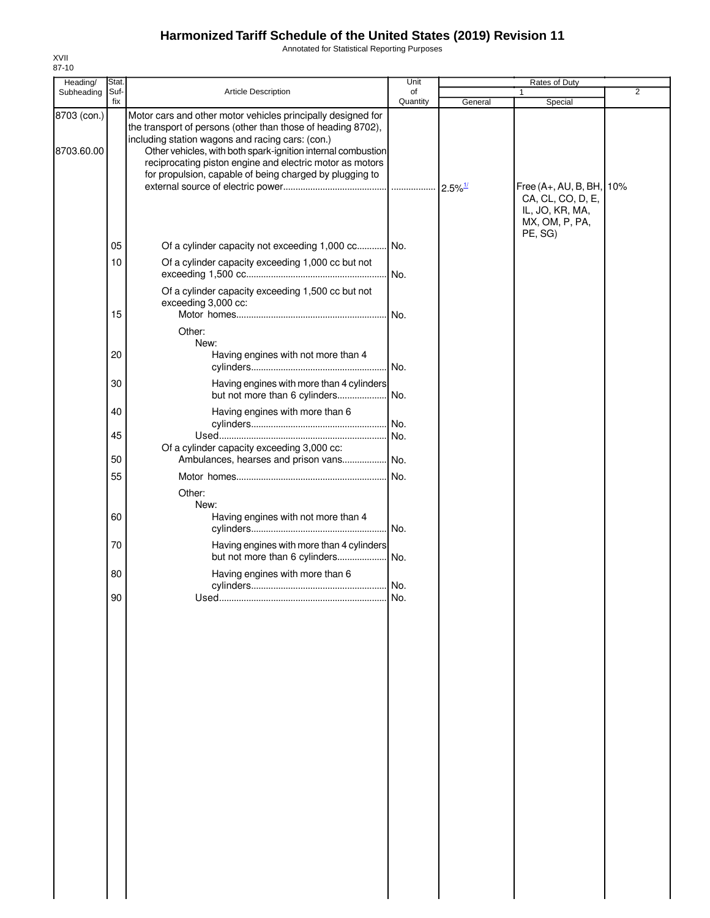Annotated for Statistical Reporting Purposes

| Heading/                  | Stat.    |                                                                                                                                                                                                                                                                                                                                                                         | Unit       |         | Rates of Duty                                                                      |                |
|---------------------------|----------|-------------------------------------------------------------------------------------------------------------------------------------------------------------------------------------------------------------------------------------------------------------------------------------------------------------------------------------------------------------------------|------------|---------|------------------------------------------------------------------------------------|----------------|
| Subheading                | Suf-     | Article Description                                                                                                                                                                                                                                                                                                                                                     | of         |         |                                                                                    | $\overline{2}$ |
|                           | fix      |                                                                                                                                                                                                                                                                                                                                                                         | Quantity   | General | Special                                                                            |                |
| 8703 (con.)<br>8703.60.00 |          | Motor cars and other motor vehicles principally designed for<br>the transport of persons (other than those of heading 8702),<br>including station wagons and racing cars: (con.)<br>Other vehicles, with both spark-ignition internal combustion<br>reciprocating piston engine and electric motor as motors<br>for propulsion, capable of being charged by plugging to |            |         | Free (A+, AU, B, BH, 10%<br>CA, CL, CO, D, E,<br>IL, JO, KR, MA,<br>MX, OM, P, PA, |                |
|                           | 05       | Of a cylinder capacity not exceeding 1,000 cc No.                                                                                                                                                                                                                                                                                                                       |            |         | PE, SG)                                                                            |                |
|                           | 10       | Of a cylinder capacity exceeding 1,000 cc but not                                                                                                                                                                                                                                                                                                                       | No.        |         |                                                                                    |                |
|                           | 15       | Of a cylinder capacity exceeding 1,500 cc but not<br>exceeding 3,000 cc:                                                                                                                                                                                                                                                                                                | No.        |         |                                                                                    |                |
|                           |          | Other:                                                                                                                                                                                                                                                                                                                                                                  |            |         |                                                                                    |                |
|                           | 20       | New:<br>Having engines with not more than 4                                                                                                                                                                                                                                                                                                                             | No.        |         |                                                                                    |                |
|                           | 30       | Having engines with more than 4 cylinders                                                                                                                                                                                                                                                                                                                               |            |         |                                                                                    |                |
|                           | 40       | but not more than 6 cylinders<br>Having engines with more than 6                                                                                                                                                                                                                                                                                                        | No.        |         |                                                                                    |                |
|                           | 45       |                                                                                                                                                                                                                                                                                                                                                                         | No.<br>No. |         |                                                                                    |                |
|                           | 50       | Of a cylinder capacity exceeding 3,000 cc:<br>Ambulances, hearses and prison vans                                                                                                                                                                                                                                                                                       | No.        |         |                                                                                    |                |
|                           | 55       |                                                                                                                                                                                                                                                                                                                                                                         | No.        |         |                                                                                    |                |
|                           |          |                                                                                                                                                                                                                                                                                                                                                                         |            |         |                                                                                    |                |
|                           | 60<br>70 | Other:<br>New:<br>Having engines with not more than 4<br>Having engines with more than 4 cylinders                                                                                                                                                                                                                                                                      | . No.      |         |                                                                                    |                |
|                           |          | but not more than 6 cylinders                                                                                                                                                                                                                                                                                                                                           | . No.      |         |                                                                                    |                |
|                           | 80<br>90 | Having engines with more than 6                                                                                                                                                                                                                                                                                                                                         | . No.      |         |                                                                                    |                |
|                           |          |                                                                                                                                                                                                                                                                                                                                                                         | No.        |         |                                                                                    |                |
|                           |          |                                                                                                                                                                                                                                                                                                                                                                         |            |         |                                                                                    |                |
|                           |          |                                                                                                                                                                                                                                                                                                                                                                         |            |         |                                                                                    |                |
|                           |          |                                                                                                                                                                                                                                                                                                                                                                         |            |         |                                                                                    |                |
|                           |          |                                                                                                                                                                                                                                                                                                                                                                         |            |         |                                                                                    |                |
|                           |          |                                                                                                                                                                                                                                                                                                                                                                         |            |         |                                                                                    |                |
|                           |          |                                                                                                                                                                                                                                                                                                                                                                         |            |         |                                                                                    |                |
|                           |          |                                                                                                                                                                                                                                                                                                                                                                         |            |         |                                                                                    |                |
|                           |          |                                                                                                                                                                                                                                                                                                                                                                         |            |         |                                                                                    |                |
|                           |          |                                                                                                                                                                                                                                                                                                                                                                         |            |         |                                                                                    |                |
|                           |          |                                                                                                                                                                                                                                                                                                                                                                         |            |         |                                                                                    |                |
|                           |          |                                                                                                                                                                                                                                                                                                                                                                         |            |         |                                                                                    |                |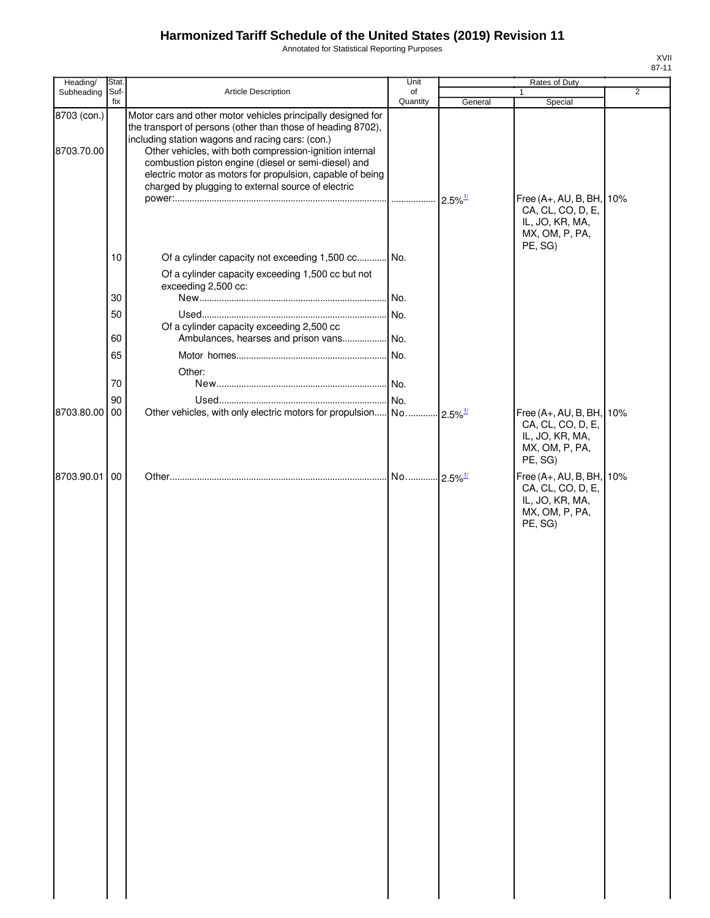Annotated for Statistical Reporting Purposes

| Heading/                  | Stat.       |                                                                                                                                                                                                                                                                                                                                                                                                                        | Unit           |                       | Rates of Duty                                                                             |                |
|---------------------------|-------------|------------------------------------------------------------------------------------------------------------------------------------------------------------------------------------------------------------------------------------------------------------------------------------------------------------------------------------------------------------------------------------------------------------------------|----------------|-----------------------|-------------------------------------------------------------------------------------------|----------------|
| Subheading                | Suf-<br>fix | Article Description                                                                                                                                                                                                                                                                                                                                                                                                    | of<br>Quantity | General               | Special                                                                                   | $\overline{2}$ |
| 8703 (con.)<br>8703.70.00 |             | Motor cars and other motor vehicles principally designed for<br>the transport of persons (other than those of heading 8702),<br>including station wagons and racing cars: (con.)<br>Other vehicles, with both compression-ignition internal<br>combustion piston engine (diesel or semi-diesel) and<br>electric motor as motors for propulsion, capable of being<br>charged by plugging to external source of electric |                | $2.5\%$ <sup>1/</sup> | Free (A+, AU, B, BH,<br>CA, CL, CO, D, E,                                                 | 10%            |
|                           | 10          | Of a cylinder capacity not exceeding 1,500 cc No.                                                                                                                                                                                                                                                                                                                                                                      |                |                       | IL, JO, KR, MA,<br>MX, OM, P, PA,<br>PE, SG)                                              |                |
|                           |             | Of a cylinder capacity exceeding 1,500 cc but not<br>exceeding 2,500 cc:                                                                                                                                                                                                                                                                                                                                               |                |                       |                                                                                           |                |
|                           | 30          |                                                                                                                                                                                                                                                                                                                                                                                                                        |                |                       |                                                                                           |                |
|                           | 50          |                                                                                                                                                                                                                                                                                                                                                                                                                        |                |                       |                                                                                           |                |
|                           |             | Of a cylinder capacity exceeding 2,500 cc                                                                                                                                                                                                                                                                                                                                                                              |                |                       |                                                                                           |                |
|                           | 60          |                                                                                                                                                                                                                                                                                                                                                                                                                        |                |                       |                                                                                           |                |
|                           | 65          |                                                                                                                                                                                                                                                                                                                                                                                                                        |                |                       |                                                                                           |                |
|                           |             | Other:                                                                                                                                                                                                                                                                                                                                                                                                                 |                |                       |                                                                                           |                |
|                           | $70\,$      |                                                                                                                                                                                                                                                                                                                                                                                                                        |                |                       |                                                                                           |                |
|                           | 90          |                                                                                                                                                                                                                                                                                                                                                                                                                        | No.            |                       |                                                                                           |                |
| 8703.80.00                | 00          |                                                                                                                                                                                                                                                                                                                                                                                                                        |                |                       | Free (A+, AU, B, BH,<br>CA, CL, CO, D, E,<br>IL, JO, KR, MA,<br>MX, OM, P, PA,<br>PE, SG) | 10%            |
| 8703.90.01                | 00          |                                                                                                                                                                                                                                                                                                                                                                                                                        |                |                       | Free (A+, AU, B, BH,<br>CA, CL, CO, D, E,<br>IL, JO, KR, MA,<br>MX, OM, P, PA,<br>PE, SG) | 10%            |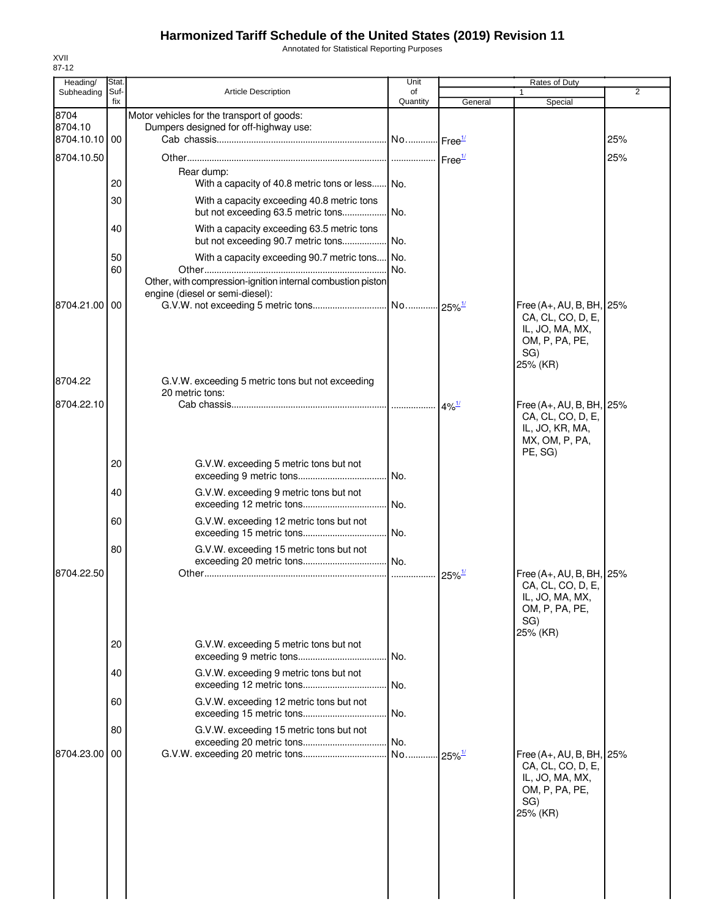Annotated for Statistical Reporting Purposes

| Heading/                         | Stat.       |                                                                                                | Unit           |                              | Rates of Duty                                                                                         |     |
|----------------------------------|-------------|------------------------------------------------------------------------------------------------|----------------|------------------------------|-------------------------------------------------------------------------------------------------------|-----|
| Subheading                       | Suf-<br>fix | <b>Article Description</b>                                                                     | of<br>Quantity | General                      | Special                                                                                               | 2   |
| 8704<br>8704.10<br>8704.10.10 00 |             | Motor vehicles for the transport of goods:<br>Dumpers designed for off-highway use:            |                | ⊶lFree <del>™</del>          |                                                                                                       | 25% |
| 8704.10.50                       |             |                                                                                                |                | Free <sup>1/</sup>           |                                                                                                       | 25% |
|                                  |             | Rear dump:                                                                                     |                |                              |                                                                                                       |     |
|                                  | 20          | With a capacity of 40.8 metric tons or less No.                                                |                |                              |                                                                                                       |     |
|                                  | 30          | With a capacity exceeding 40.8 metric tons<br>but not exceeding 63.5 metric tons               | No.            |                              |                                                                                                       |     |
|                                  | 40          | With a capacity exceeding 63.5 metric tons<br>but not exceeding 90.7 metric tons               | No.            |                              |                                                                                                       |     |
|                                  | 50          | With a capacity exceeding 90.7 metric tons No.                                                 |                |                              |                                                                                                       |     |
|                                  | 60          | Other, with compression-ignition internal combustion piston<br>engine (diesel or semi-diesel): | INo.           |                              |                                                                                                       |     |
| 8704.21.00                       | 00          |                                                                                                |                |                              | Free (A+, AU, B, BH, 25%                                                                              |     |
|                                  |             |                                                                                                |                |                              | CA, CL, CO, D, E,<br>IL, JO, MA, MX,<br>OM, P, PA, PE,<br>SG)<br>25% (KR)                             |     |
| 8704.22                          |             | G.V.W. exceeding 5 metric tons but not exceeding<br>20 metric tons:                            |                |                              |                                                                                                       |     |
| 8704.22.10                       |             |                                                                                                |                | $4\%$ <sup>1/</sup>          | Free (A+, AU, B, BH, 25%<br>CA, CL, CO, D, E,<br>IL, JO, KR, MA,<br>MX, OM, P, PA,<br>PE, SG)         |     |
|                                  | 20          | G.V.W. exceeding 5 metric tons but not                                                         | No.            |                              |                                                                                                       |     |
|                                  | 40          | G.V.W. exceeding 9 metric tons but not                                                         | No.            |                              |                                                                                                       |     |
|                                  | 60          | G.V.W. exceeding 12 metric tons but not                                                        | No.            |                              |                                                                                                       |     |
| 8704.22.50                       | 80          | G.V.W. exceeding 15 metric tons but not                                                        | No.            |                              |                                                                                                       |     |
|                                  |             |                                                                                                | .              | $25\%$ <sup>1/</sup>         | Free (A+, AU, B, BH, 25%<br>CA, CL, CO, D, E,<br>IL, JO, MA, MX,<br>OM, P, PA, PE,<br>SG)<br>25% (KR) |     |
|                                  | 20          | G.V.W. exceeding 5 metric tons but not                                                         | No.            |                              |                                                                                                       |     |
|                                  | 40          | G.V.W. exceeding 9 metric tons but not                                                         | No.            |                              |                                                                                                       |     |
|                                  | 60          | G.V.W. exceeding 12 metric tons but not                                                        | No.            |                              |                                                                                                       |     |
|                                  | 80          | G.V.W. exceeding 15 metric tons but not                                                        | No.            |                              |                                                                                                       |     |
| 8704.23.00                       | 00          |                                                                                                | No             | $\cdot$ 25% $^{\frac{1}{2}}$ | Free (A+, AU, B, BH, 25%<br>CA, CL, CO, D, E,<br>IL, JO, MA, MX,<br>OM, P, PA, PE,<br>SG)<br>25% (KR) |     |
|                                  |             |                                                                                                |                |                              |                                                                                                       |     |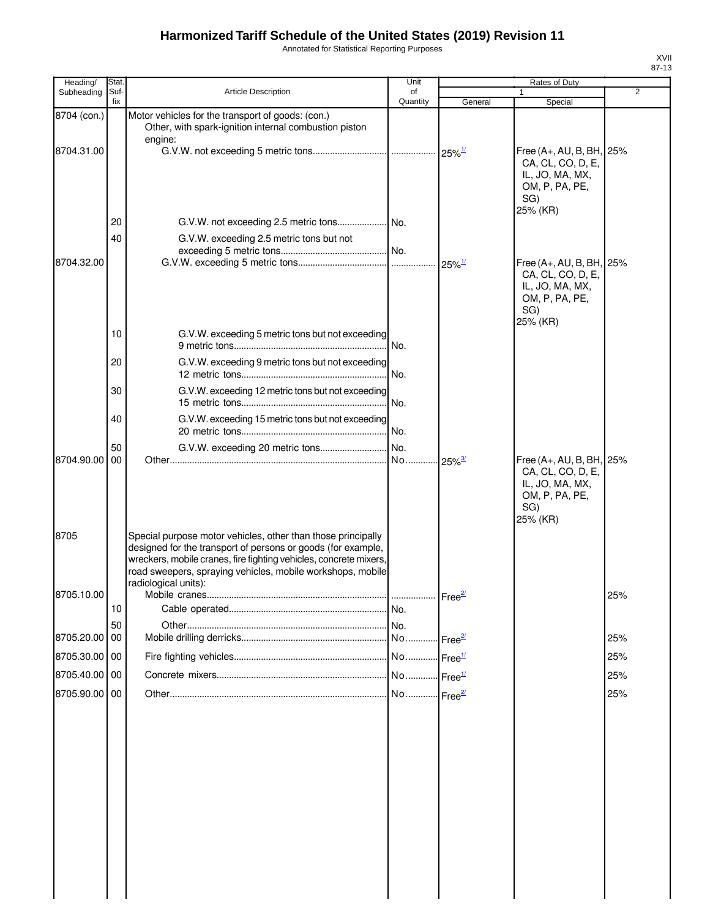Annotated for Statistical Reporting Purposes

| Heading/      | Stat.       |                                                                                                                                                                                                                                                                                         | Unit           |                      | Rates of Duty                                                                                       |                |
|---------------|-------------|-----------------------------------------------------------------------------------------------------------------------------------------------------------------------------------------------------------------------------------------------------------------------------------------|----------------|----------------------|-----------------------------------------------------------------------------------------------------|----------------|
| Subheading    | Suf-<br>fix | <b>Article Description</b>                                                                                                                                                                                                                                                              | of<br>Quantity | General              | 1<br>Special                                                                                        | $\overline{2}$ |
| 8704 (con.)   |             | Motor vehicles for the transport of goods: (con.)<br>Other, with spark-ignition internal combustion piston<br>engine:                                                                                                                                                                   |                |                      |                                                                                                     |                |
| 8704.31.00    |             |                                                                                                                                                                                                                                                                                         |                |                      | Free $(A+, AU, B, BH,$<br>CA, CL, CO, D, E,<br>IL, JO, MA, MX,<br>OM, P, PA, PE,<br>SG)<br>25% (KR) | 25%            |
|               | 20          |                                                                                                                                                                                                                                                                                         |                |                      |                                                                                                     |                |
|               | 40          | G.V.W. exceeding 2.5 metric tons but not                                                                                                                                                                                                                                                |                |                      |                                                                                                     |                |
| 8704.32.00    |             |                                                                                                                                                                                                                                                                                         |                |                      |                                                                                                     |                |
|               |             |                                                                                                                                                                                                                                                                                         |                | $25\%$ <sup>1/</sup> | Free $(A+, AU, B, BH,$<br>CA, CL, CO, D, E,<br>IL, JO, MA, MX,<br>OM, P, PA, PE,<br>SG)<br>25% (KR) | 25%            |
|               | 10          | G.V.W. exceeding 5 metric tons but not exceeding                                                                                                                                                                                                                                        | No.            |                      |                                                                                                     |                |
|               | 20          | G.V.W. exceeding 9 metric tons but not exceeding                                                                                                                                                                                                                                        | No.            |                      |                                                                                                     |                |
|               | 30          | G.V.W. exceeding 12 metric tons but not exceeding                                                                                                                                                                                                                                       | . No.          |                      |                                                                                                     |                |
|               | 40          | G.V.W. exceeding 15 metric tons but not exceeding                                                                                                                                                                                                                                       |                |                      |                                                                                                     |                |
|               | 50          |                                                                                                                                                                                                                                                                                         |                |                      |                                                                                                     |                |
| 8704.90.00    | 00          |                                                                                                                                                                                                                                                                                         | No             | $25\%$ <sup>3/</sup> | Free $(A+, AU, B, BH,$<br>CA, CL, CO, D, E,<br>IL, JO, MA, MX,<br>OM, P, PA, PE,<br>SG)<br>25% (KR) | 25%            |
| 8705          |             | Special purpose motor vehicles, other than those principally<br>designed for the transport of persons or goods (for example,<br>wreckers, mobile cranes, fire fighting vehicles, concrete mixers,<br>road sweepers, spraying vehicles, mobile workshops, mobile<br>radiological units): |                |                      |                                                                                                     |                |
| 8705.10.00    |             |                                                                                                                                                                                                                                                                                         |                |                      |                                                                                                     | 25%            |
|               | 10          |                                                                                                                                                                                                                                                                                         |                |                      |                                                                                                     |                |
|               | 50          |                                                                                                                                                                                                                                                                                         |                |                      |                                                                                                     |                |
| 8705.20.00    | 00          |                                                                                                                                                                                                                                                                                         |                | Free <sup>2/</sup>   |                                                                                                     | 25%            |
| 8705.30.00 00 |             |                                                                                                                                                                                                                                                                                         | No             | Free <sup>1/</sup>   |                                                                                                     | 25%            |
| 8705.40.00 00 |             |                                                                                                                                                                                                                                                                                         |                | Free <sup>1/</sup>   |                                                                                                     | 25%            |
| 8705.90.00 00 |             |                                                                                                                                                                                                                                                                                         | No             | Free <sup>2/</sup>   |                                                                                                     | 25%            |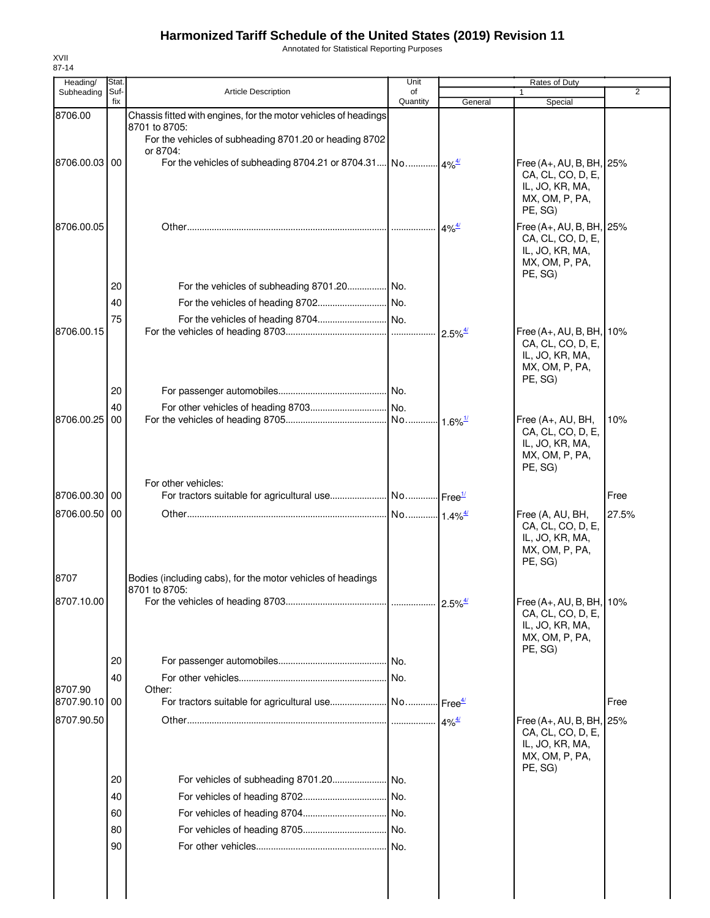Annotated for Statistical Reporting Purposes

| Heading/                 | Stat.       |                                                                         | Unit           |                                             | Rates of Duty                                 |                |
|--------------------------|-------------|-------------------------------------------------------------------------|----------------|---------------------------------------------|-----------------------------------------------|----------------|
| Subheading               | Suf-<br>fix | <b>Article Description</b>                                              | of<br>Quantity | General                                     | $\mathbf{1}$<br>Special                       | $\overline{2}$ |
| 8706.00                  |             | Chassis fitted with engines, for the motor vehicles of headings         |                |                                             |                                               |                |
|                          |             | 8701 to 8705:<br>For the vehicles of subheading 8701.20 or heading 8702 |                |                                             |                                               |                |
|                          |             | or 8704:                                                                |                |                                             |                                               |                |
| 8706.00.03 00            |             |                                                                         |                |                                             | Free (A+, AU, B, BH, 25%<br>CA, CL, CO, D, E, |                |
|                          |             |                                                                         |                |                                             | IL, JO, KR, MA,                               |                |
|                          |             |                                                                         |                |                                             | MX, OM, P, PA,<br>PE, SG)                     |                |
| 8706.00.05               |             |                                                                         |                | $4\%$ <sup>4/</sup>                         | Free (A+, AU, B, BH, 25%                      |                |
|                          |             |                                                                         |                |                                             | CA, CL, CO, D, E,<br>IL, JO, KR, MA,          |                |
|                          |             |                                                                         |                |                                             | MX, OM, P, PA,                                |                |
|                          | 20          | For the vehicles of subheading 8701.20 No.                              |                |                                             | PE, SG)                                       |                |
|                          | 40          |                                                                         |                |                                             |                                               |                |
|                          | 75          |                                                                         |                |                                             |                                               |                |
| 8706.00.15               |             |                                                                         |                | $2.5\%$ <sup><math>\frac{4}{2}</math></sup> | Free (A+, AU, B, BH, 10%                      |                |
|                          |             |                                                                         |                |                                             | CA, CL, CO, D, E,                             |                |
|                          |             |                                                                         |                |                                             | IL, JO, KR, MA,<br>MX, OM, P, PA,             |                |
|                          |             |                                                                         |                |                                             | PE, SG)                                       |                |
|                          | 20          |                                                                         |                |                                             |                                               |                |
| 8706.00.25               | 40<br>00    |                                                                         |                | $\cdot \cdot 1.6\%$ <sup>1/</sup>           | Free (A+, AU, BH,                             | 10%            |
|                          |             |                                                                         |                |                                             | CA, CL, CO, D, E,                             |                |
|                          |             |                                                                         |                |                                             | IL, JO, KR, MA,<br>MX, OM, P, PA,             |                |
|                          |             |                                                                         |                |                                             | PE, SG)                                       |                |
|                          |             | For other vehicles:                                                     |                |                                             |                                               |                |
| 8706.00.30 00            |             |                                                                         |                |                                             |                                               | Free           |
| 8706.00.50 00            |             |                                                                         |                |                                             | Free (A, AU, BH,<br>CA, CL, CO, D, E,         | 27.5%          |
|                          |             |                                                                         |                |                                             | IL, JO, KR, MA,                               |                |
|                          |             |                                                                         |                |                                             | MX, OM, P, PA,<br>PE, SG)                     |                |
| 8707                     |             | Bodies (including cabs), for the motor vehicles of headings             |                |                                             |                                               |                |
|                          |             | 8701 to 8705:                                                           |                |                                             |                                               |                |
| 8707.10.00               |             |                                                                         |                | $2.5\%$ <sup><math>\frac{4}{3}</math></sup> | Free (A+, AU, B, BH, 10%<br>CA, CL, CO, D, E, |                |
|                          |             |                                                                         |                |                                             | IL, JO, KR, MA,                               |                |
|                          |             |                                                                         |                |                                             | MX, OM, P, PA,<br>PE, SG)                     |                |
|                          | 20          |                                                                         |                |                                             |                                               |                |
|                          | 40          |                                                                         |                |                                             |                                               |                |
| 8707.90<br>8707.90.10 00 |             | Other:                                                                  |                |                                             |                                               | Free           |
| 8707.90.50               |             |                                                                         |                |                                             |                                               |                |
|                          |             |                                                                         |                | $4\%$ <sup>4/</sup>                         | Free (A+, AU, B, BH, 25%<br>CA, CL, CO, D, E, |                |
|                          |             |                                                                         |                |                                             | IL, JO, KR, MA,                               |                |
|                          |             |                                                                         |                |                                             | MX, OM, P, PA,<br>PE, SG)                     |                |
|                          | 20          |                                                                         |                |                                             |                                               |                |
|                          | 40          |                                                                         |                |                                             |                                               |                |
|                          | 60          |                                                                         |                |                                             |                                               |                |
|                          | 80          |                                                                         |                |                                             |                                               |                |
|                          | 90          |                                                                         |                |                                             |                                               |                |
|                          |             |                                                                         |                |                                             |                                               |                |
|                          |             |                                                                         |                |                                             |                                               |                |
|                          |             |                                                                         |                |                                             |                                               |                |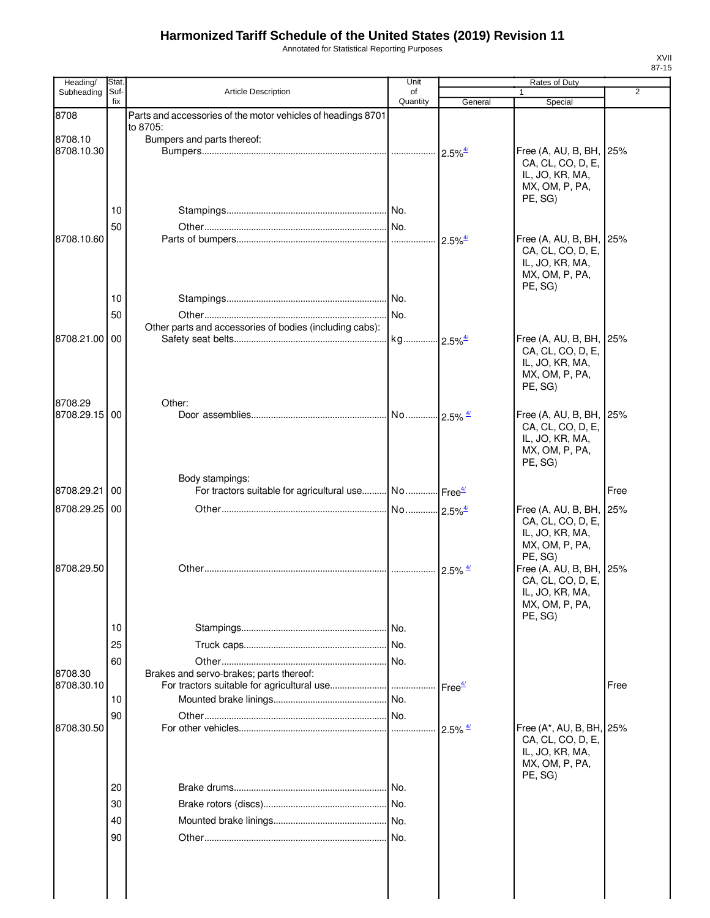Annotated for Statistical Reporting Purposes

| Heading/                 | Stat.       |                                                                                     | Unit                  |                        | Rates of Duty                            |                |
|--------------------------|-------------|-------------------------------------------------------------------------------------|-----------------------|------------------------|------------------------------------------|----------------|
| Subheading               | Suf-<br>fix | <b>Article Description</b>                                                          | οf<br>Quantity        | General                | 1<br>Special                             | $\overline{2}$ |
| 8708                     |             | Parts and accessories of the motor vehicles of headings 8701                        |                       |                        |                                          |                |
|                          |             | to 8705:                                                                            |                       |                        |                                          |                |
| 8708.10<br>8708.10.30    |             | Bumpers and parts thereof:                                                          |                       | $2.5\%$ <sup>4/</sup>  | Free (A, AU, B, BH,                      | 25%            |
|                          |             |                                                                                     |                       |                        | CA, CL, CO, D, E,                        |                |
|                          |             |                                                                                     |                       |                        | IL, JO, KR, MA,                          |                |
|                          |             |                                                                                     |                       |                        | MX, OM, P, PA,<br>PE, SG)                |                |
|                          | 10          |                                                                                     |                       |                        |                                          |                |
|                          | 50          |                                                                                     |                       |                        |                                          |                |
| 8708.10.60               |             |                                                                                     |                       |                        | Free (A, AU, B, BH, 25%                  |                |
|                          |             |                                                                                     |                       |                        | CA, CL, CO, D, E,                        |                |
|                          |             |                                                                                     |                       |                        | IL, JO, KR, MA,<br>MX, OM, P, PA,        |                |
|                          |             |                                                                                     |                       |                        | PE, SG)                                  |                |
|                          | 10          |                                                                                     |                       |                        |                                          |                |
|                          | 50          |                                                                                     |                       |                        |                                          |                |
|                          |             | Other parts and accessories of bodies (including cabs):                             |                       |                        |                                          |                |
| 8708.21.00 00            |             |                                                                                     | kg 2.5% <sup>4/</sup> |                        | Free (A, AU, B, BH,<br>CA, CL, CO, D, E, | 25%            |
|                          |             |                                                                                     |                       |                        | IL, JO, KR, MA,                          |                |
|                          |             |                                                                                     |                       |                        | MX, OM, P, PA,                           |                |
|                          |             |                                                                                     |                       |                        | PE, SG)                                  |                |
| 8708.29<br>8708.29.15 00 |             | Other:                                                                              |                       |                        |                                          |                |
|                          |             |                                                                                     |                       |                        | Free (A, AU, B, BH,<br>CA, CL, CO, D, E, | 25%            |
|                          |             |                                                                                     |                       |                        | IL, JO, KR, MA,                          |                |
|                          |             |                                                                                     |                       |                        | MX, OM, P, PA,                           |                |
|                          |             |                                                                                     |                       |                        | PE, SG)                                  |                |
| 8708.29.21               | 00          | Body stampings:<br>For tractors suitable for agricultural use No Free <sup>4/</sup> |                       |                        |                                          | Free           |
|                          |             |                                                                                     |                       |                        |                                          |                |
| 8708.29.25               | 00          |                                                                                     |                       |                        | Free (A, AU, B, BH,<br>CA, CL, CO, D, E, | 25%            |
|                          |             |                                                                                     |                       |                        | IL, JO, KR, MA,                          |                |
|                          |             |                                                                                     |                       |                        | MX, OM, P, PA,                           |                |
| 8708.29.50               |             |                                                                                     |                       | $2.5\%$ $\frac{4}{1}$  | PE, SG)<br>Free (A, AU, B, BH,           | 25%            |
|                          |             |                                                                                     |                       |                        | CA, CL, CO, D, E,                        |                |
|                          |             |                                                                                     |                       |                        | IL, JO, KR, MA,                          |                |
|                          |             |                                                                                     |                       |                        | MX, OM, P, PA,                           |                |
|                          | 10          |                                                                                     |                       |                        | PE, SG)                                  |                |
|                          | 25          |                                                                                     |                       |                        |                                          |                |
|                          | 60          |                                                                                     |                       |                        |                                          |                |
| 8708.30                  |             | Brakes and servo-brakes; parts thereof:                                             |                       |                        |                                          |                |
| 8708.30.10               |             |                                                                                     |                       |                        |                                          | Free           |
|                          | 10          |                                                                                     |                       |                        |                                          |                |
|                          | 90          |                                                                                     |                       |                        |                                          |                |
| 8708.30.50               |             |                                                                                     |                       | $2.5\%$ $\frac{4/}{2}$ | Free (A*, AU, B, BH,                     | 25%            |
|                          |             |                                                                                     |                       |                        | CA, CL, CO, D, E,<br>IL, JO, KR, MA,     |                |
|                          |             |                                                                                     |                       |                        | MX, OM, P, PA,                           |                |
|                          |             |                                                                                     |                       |                        | PE, SG)                                  |                |
|                          | 20          |                                                                                     | No.                   |                        |                                          |                |
|                          | 30          |                                                                                     |                       |                        |                                          |                |
|                          | 40          |                                                                                     |                       |                        |                                          |                |
|                          | 90          |                                                                                     |                       |                        |                                          |                |
|                          |             |                                                                                     |                       |                        |                                          |                |
|                          |             |                                                                                     |                       |                        |                                          |                |
|                          |             |                                                                                     |                       |                        |                                          |                |
|                          |             |                                                                                     |                       |                        |                                          |                |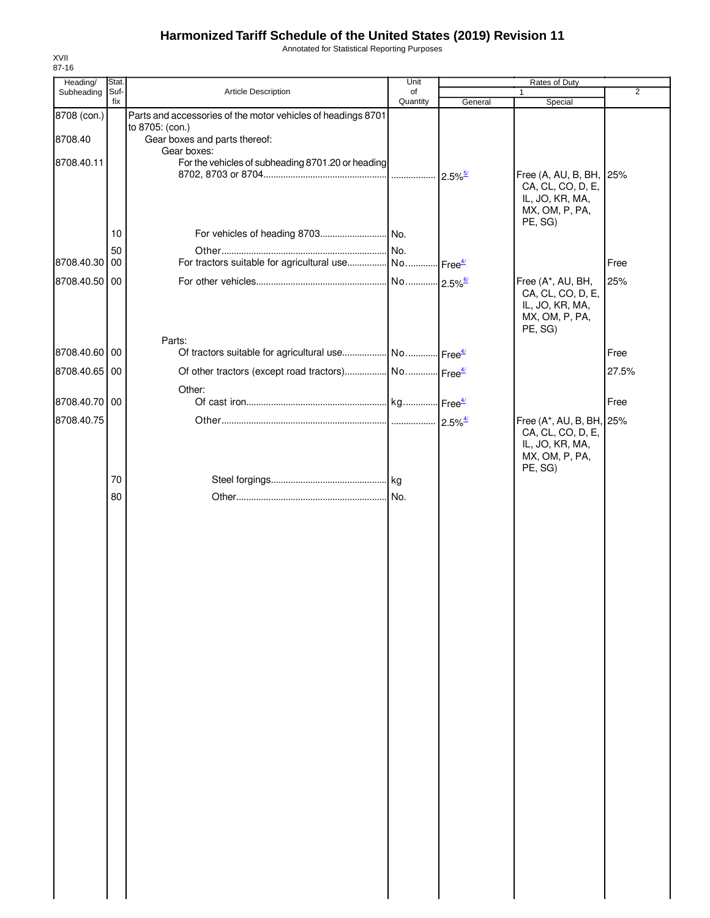Annotated for Statistical Reporting Purposes

| Stat. |                                                                                                   | Unit                  |                                                                                                                               |                                                                                                                                                |                                                                                            |
|-------|---------------------------------------------------------------------------------------------------|-----------------------|-------------------------------------------------------------------------------------------------------------------------------|------------------------------------------------------------------------------------------------------------------------------------------------|--------------------------------------------------------------------------------------------|
| Suf-  | Article Description                                                                               | of                    |                                                                                                                               | 1                                                                                                                                              | $\overline{2}$                                                                             |
|       |                                                                                                   |                       |                                                                                                                               |                                                                                                                                                |                                                                                            |
|       | to 8705: (con.)<br>Gear boxes and parts thereof:                                                  |                       |                                                                                                                               |                                                                                                                                                |                                                                                            |
|       |                                                                                                   |                       |                                                                                                                               |                                                                                                                                                |                                                                                            |
| 10    |                                                                                                   |                       |                                                                                                                               | CA, CL, CO, D, E,<br>IL, JO, KR, MA,<br>MX, OM, P, PA,<br>PE, SG)                                                                              |                                                                                            |
| 50    |                                                                                                   |                       |                                                                                                                               |                                                                                                                                                |                                                                                            |
| 00    |                                                                                                   |                       |                                                                                                                               |                                                                                                                                                | Free                                                                                       |
|       |                                                                                                   |                       |                                                                                                                               | Free (A*, AU, BH,<br>CA, CL, CO, D, E,<br>IL, JO, KR, MA,<br>MX, OM, P, PA,                                                                    | 25%                                                                                        |
|       | Parts:                                                                                            |                       |                                                                                                                               |                                                                                                                                                |                                                                                            |
|       |                                                                                                   |                       |                                                                                                                               |                                                                                                                                                | Free                                                                                       |
|       |                                                                                                   |                       |                                                                                                                               |                                                                                                                                                | 27.5%                                                                                      |
|       |                                                                                                   |                       |                                                                                                                               |                                                                                                                                                | Free                                                                                       |
|       |                                                                                                   |                       |                                                                                                                               | CA, CL, CO, D, E,<br>IL, JO, KR, MA,<br>MX, OM, P, PA,<br>PE, SG)                                                                              |                                                                                            |
|       |                                                                                                   |                       |                                                                                                                               |                                                                                                                                                |                                                                                            |
|       |                                                                                                   |                       |                                                                                                                               |                                                                                                                                                |                                                                                            |
|       | fix<br>8708.40.30<br>8708.40.50 00<br>8708.40.60 00<br>8708.40.65 00<br>8708.40.70 00<br>70<br>80 | Gear boxes:<br>Other: | Quantity<br>Parts and accessories of the motor vehicles of headings 8701<br>For the vehicles of subheading 8701.20 or heading | General<br>For tractors suitable for agricultural use No Free <sup>4/</sup><br>Of tractors suitable for agricultural use No Free <sup>4/</sup> | Rates of Duty<br>Special<br>Free (A, AU, B, BH, 25%<br>PE, SG)<br>Free (A*, AU, B, BH, 25% |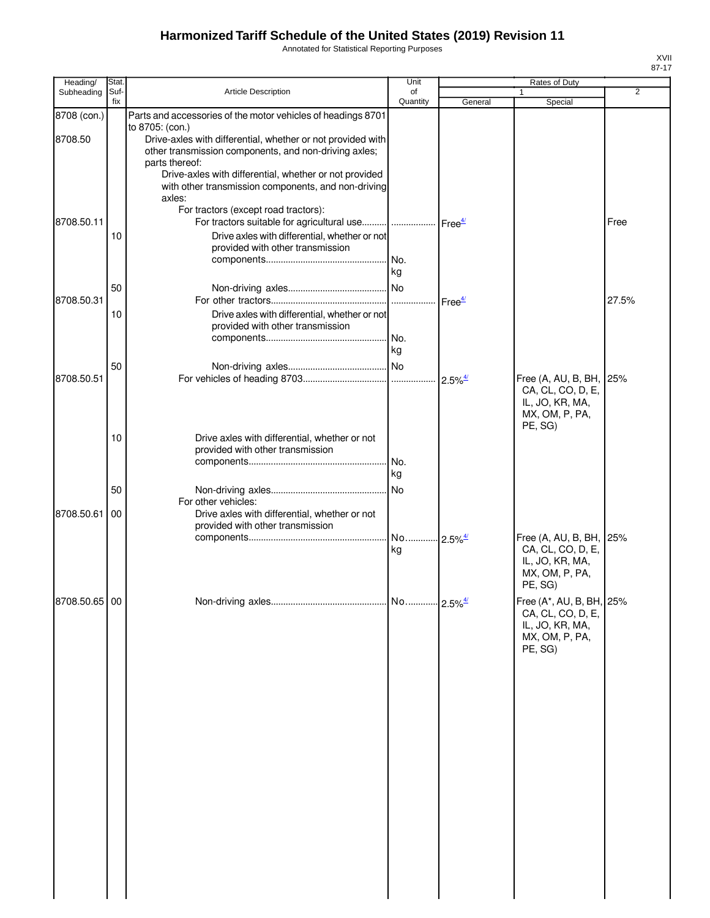Annotated for Statistical Reporting Purposes

| Heading/      | Stat.       |                                                                                                                                                                                                                                                                                                                            | Unit                        |         | Rates of Duty                                                                                 |       |
|---------------|-------------|----------------------------------------------------------------------------------------------------------------------------------------------------------------------------------------------------------------------------------------------------------------------------------------------------------------------------|-----------------------------|---------|-----------------------------------------------------------------------------------------------|-------|
| Subheading    | Suf-<br>fix | <b>Article Description</b>                                                                                                                                                                                                                                                                                                 | of<br>Quantity              | General | 1<br>Special                                                                                  | 2     |
| 8708 (con.)   |             | Parts and accessories of the motor vehicles of headings 8701                                                                                                                                                                                                                                                               |                             |         |                                                                                               |       |
| 8708.50       |             | to 8705: (con.)<br>Drive-axles with differential, whether or not provided with<br>other transmission components, and non-driving axles;<br>parts thereof:                                                                                                                                                                  |                             |         |                                                                                               |       |
| 8708.50.11    | 10          | Drive-axles with differential, whether or not provided<br>with other transmission components, and non-driving<br>axles:<br>For tractors (except road tractors):<br>For tractors suitable for agricultural use      Free <sup>4/</sup><br>Drive axles with differential, whether or not<br>provided with other transmission |                             |         |                                                                                               | Free  |
|               | 50          |                                                                                                                                                                                                                                                                                                                            | kg                          |         |                                                                                               |       |
| 8708.50.31    |             |                                                                                                                                                                                                                                                                                                                            |                             |         |                                                                                               | 27.5% |
|               | 10          | Drive axles with differential, whether or not<br>provided with other transmission                                                                                                                                                                                                                                          |                             |         |                                                                                               |       |
|               |             |                                                                                                                                                                                                                                                                                                                            | kg                          |         |                                                                                               |       |
|               | 50          |                                                                                                                                                                                                                                                                                                                            |                             |         |                                                                                               |       |
| 8708.50.51    |             |                                                                                                                                                                                                                                                                                                                            |                             |         | Free (A, AU, B, BH, 25%<br>CA, CL, CO, D, E,<br>IL, JO, KR, MA,<br>MX, OM, P, PA,<br>PE, SG)  |       |
|               | 10          | Drive axles with differential, whether or not<br>provided with other transmission                                                                                                                                                                                                                                          | No.<br>kg                   |         |                                                                                               |       |
|               | 50          |                                                                                                                                                                                                                                                                                                                            |                             |         |                                                                                               |       |
| 8708.50.61    | 00          | For other vehicles:<br>Drive axles with differential, whether or not<br>provided with other transmission                                                                                                                                                                                                                   |                             |         |                                                                                               |       |
|               |             |                                                                                                                                                                                                                                                                                                                            | No 2.5% <sup>4/</sup><br>kg |         | Free (A, AU, B, BH, 25%<br>CA, CL, CO, D, E,<br>IL, JO, KR, MA,<br>MX, OM, P, PA,<br>PE, SG)  |       |
| 8708.50.65 00 |             |                                                                                                                                                                                                                                                                                                                            |                             |         | Free (A*, AU, B, BH, 25%<br>CA, CL, CO, D, E,<br>IL, JO, KR, MA,<br>MX, OM, P, PA,<br>PE, SG) |       |
|               |             |                                                                                                                                                                                                                                                                                                                            |                             |         |                                                                                               |       |
|               |             |                                                                                                                                                                                                                                                                                                                            |                             |         |                                                                                               |       |
|               |             |                                                                                                                                                                                                                                                                                                                            |                             |         |                                                                                               |       |
|               |             |                                                                                                                                                                                                                                                                                                                            |                             |         |                                                                                               |       |
|               |             |                                                                                                                                                                                                                                                                                                                            |                             |         |                                                                                               |       |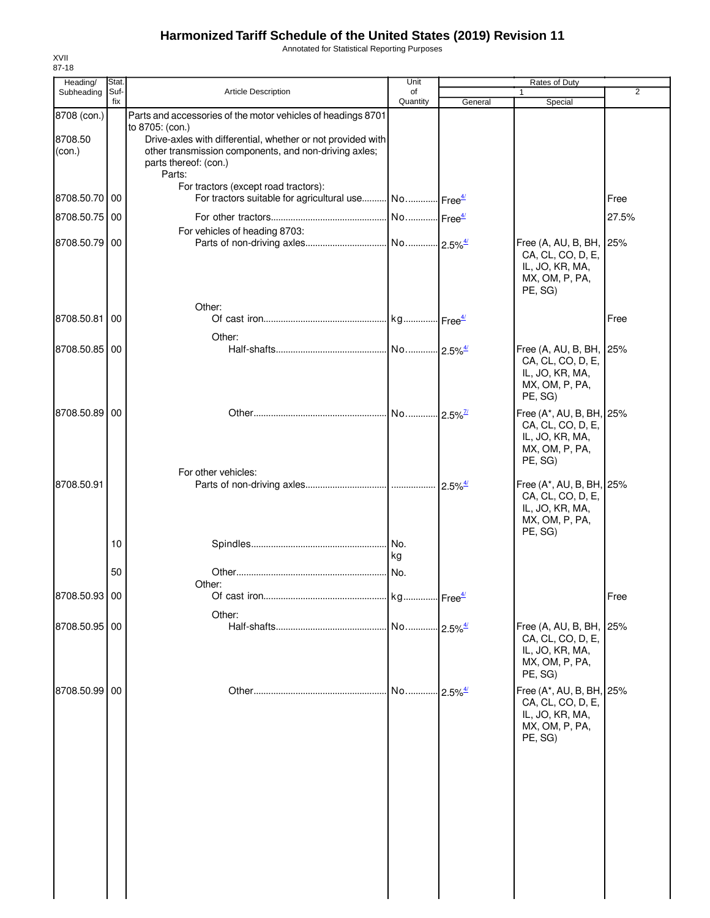Annotated for Statistical Reporting Purposes

| Stat        |                                                                                                                                                                       | Unit                                    |                                                                                                                                                              | Rates of Duty                                                                                                                  |                                                                                                                                                                              |
|-------------|-----------------------------------------------------------------------------------------------------------------------------------------------------------------------|-----------------------------------------|--------------------------------------------------------------------------------------------------------------------------------------------------------------|--------------------------------------------------------------------------------------------------------------------------------|------------------------------------------------------------------------------------------------------------------------------------------------------------------------------|
| Suf-        | <b>Article Description</b>                                                                                                                                            | of                                      |                                                                                                                                                              | 1                                                                                                                              | $\overline{2}$                                                                                                                                                               |
|             |                                                                                                                                                                       |                                         |                                                                                                                                                              |                                                                                                                                |                                                                                                                                                                              |
|             | to 8705: (con.)<br>other transmission components, and non-driving axles;<br>parts thereof: (con.)<br>Parts:                                                           |                                         |                                                                                                                                                              |                                                                                                                                |                                                                                                                                                                              |
|             | For tractors (except road tractors):                                                                                                                                  |                                         |                                                                                                                                                              |                                                                                                                                | Free                                                                                                                                                                         |
|             |                                                                                                                                                                       |                                         |                                                                                                                                                              |                                                                                                                                | 27.5%                                                                                                                                                                        |
|             | For vehicles of heading 8703:                                                                                                                                         |                                         |                                                                                                                                                              | CA, CL, CO, D, E,<br>IL, JO, KR, MA,<br>MX, OM, P, PA,<br>PE, SG)                                                              |                                                                                                                                                                              |
|             | Other:                                                                                                                                                                |                                         |                                                                                                                                                              |                                                                                                                                |                                                                                                                                                                              |
|             |                                                                                                                                                                       |                                         |                                                                                                                                                              |                                                                                                                                | Free                                                                                                                                                                         |
|             | Other:                                                                                                                                                                |                                         |                                                                                                                                                              |                                                                                                                                |                                                                                                                                                                              |
|             |                                                                                                                                                                       |                                         |                                                                                                                                                              | CA, CL, CO, D, E,<br>IL, JO, KR, MA,<br>MX, OM, P, PA,<br>PE, SG)                                                              |                                                                                                                                                                              |
|             |                                                                                                                                                                       |                                         |                                                                                                                                                              | CA, CL, CO, D, E,<br>IL, JO, KR, MA,<br>MX, OM, P, PA,<br>PE, SG)                                                              |                                                                                                                                                                              |
|             |                                                                                                                                                                       |                                         |                                                                                                                                                              |                                                                                                                                |                                                                                                                                                                              |
| 10          |                                                                                                                                                                       |                                         |                                                                                                                                                              | CA, CL, CO, D, E,<br>IL, JO, KR, MA,<br>MX, OM, P, PA,<br>PE, SG)                                                              |                                                                                                                                                                              |
|             |                                                                                                                                                                       |                                         |                                                                                                                                                              |                                                                                                                                |                                                                                                                                                                              |
|             |                                                                                                                                                                       |                                         |                                                                                                                                                              |                                                                                                                                |                                                                                                                                                                              |
|             |                                                                                                                                                                       |                                         |                                                                                                                                                              |                                                                                                                                | Free                                                                                                                                                                         |
|             |                                                                                                                                                                       |                                         |                                                                                                                                                              |                                                                                                                                |                                                                                                                                                                              |
|             |                                                                                                                                                                       |                                         |                                                                                                                                                              | CA, CL, CO, D, E,<br>IL, JO, KR, MA,<br>MX, OM, P, PA,<br>PE, SG)                                                              |                                                                                                                                                                              |
|             |                                                                                                                                                                       | No                                      |                                                                                                                                                              | CA, CL, CO, D, E,<br>IL, JO, KR, MA,<br>MX, OM, P, PA,<br>PE, SG)                                                              |                                                                                                                                                                              |
| 8708 (con.) | fix<br>8708.50.70 00<br>8708.50.75 00<br>8708.50.79 00<br>8708.50.81<br>00<br>8708.50.85 00<br>8708.50.89 00<br>50<br>8708.50.93 00<br>8708.50.95 00<br>8708.50.99 00 | For other vehicles:<br>Other:<br>Other: | Quantity<br>Parts and accessories of the motor vehicles of headings 8701<br>Drive-axles with differential, whether or not provided with<br>INo.<br>kg<br>No. | General<br>For tractors suitable for agricultural use No Free <sup>4/</sup><br>$2.5\%$ <sup>4/</sup><br>$-2.5\%$ <sup>4/</sup> | Special<br>Free (A, AU, B, BH, 25%<br>Free (A, AU, B, BH, 25%<br>Free (A*, AU, B, BH, 25%<br>Free (A*, AU, B, BH, 25%<br>Free (A, AU, B, BH, 25%<br>Free (A*, AU, B, BH, 25% |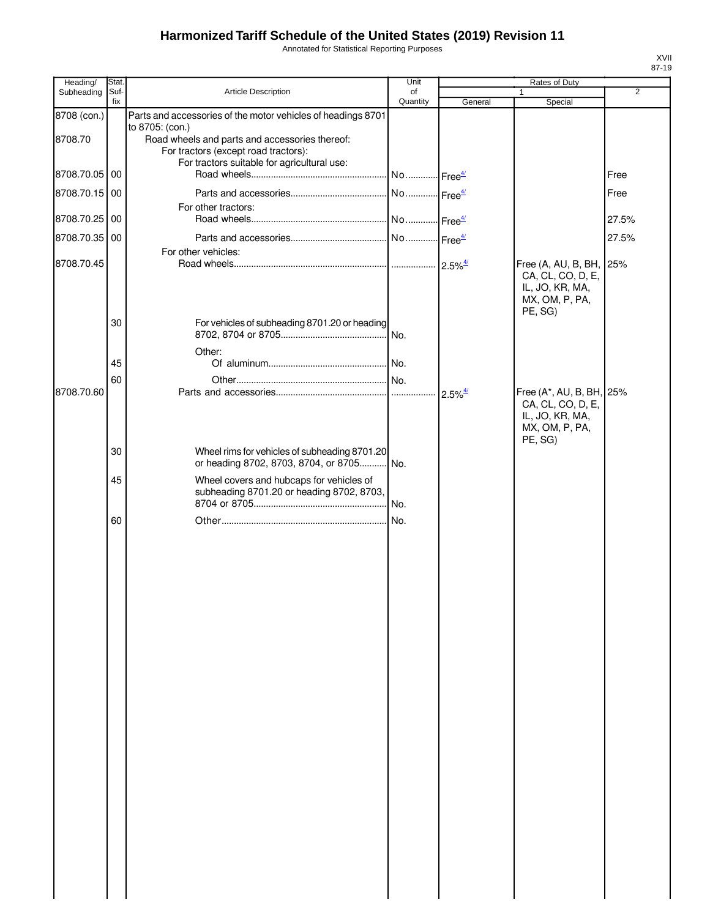Annotated for Statistical Reporting Purposes

| Heading/      | Stat.       |                                                                                                           | Unit                  |                                             | Rates of Duty                                                                                 |                |
|---------------|-------------|-----------------------------------------------------------------------------------------------------------|-----------------------|---------------------------------------------|-----------------------------------------------------------------------------------------------|----------------|
| Subheading    | Suf-<br>fix | <b>Article Description</b>                                                                                | of<br>Quantity        | General                                     | 1<br>Special                                                                                  | $\overline{2}$ |
| 8708 (con.)   |             | Parts and accessories of the motor vehicles of headings 8701                                              |                       |                                             |                                                                                               |                |
| 8708.70       |             | to 8705: (con.)<br>Road wheels and parts and accessories thereof:<br>For tractors (except road tractors): |                       |                                             |                                                                                               |                |
| 8708.70.05 00 |             | For tractors suitable for agricultural use:                                                               | No Free <sup>4/</sup> |                                             |                                                                                               | Free           |
| 8708.70.15 00 |             |                                                                                                           |                       |                                             |                                                                                               | Free           |
| 8708.70.25 00 |             | For other tractors:                                                                                       |                       |                                             |                                                                                               | 27.5%          |
| 8708.70.35 00 |             |                                                                                                           |                       |                                             |                                                                                               | 27.5%          |
| 8708.70.45    |             | For other vehicles:                                                                                       |                       |                                             | Free (A, AU, B, BH, 25%<br>CA, CL, CO, D, E,<br>IL, JO, KR, MA,<br>MX, OM, P, PA,             |                |
|               | 30          | For vehicles of subheading 8701.20 or heading<br>Other:                                                   |                       |                                             | PE, SG)                                                                                       |                |
|               | 45          |                                                                                                           |                       |                                             |                                                                                               |                |
|               | 60          |                                                                                                           |                       |                                             |                                                                                               |                |
| 8708.70.60    |             |                                                                                                           |                       | $2.5\%$ <sup><math>\frac{4}{2}</math></sup> | Free (A*, AU, B, BH, 25%<br>CA, CL, CO, D, E,<br>IL, JO, KR, MA,<br>MX, OM, P, PA,<br>PE, SG) |                |
|               | 30          | Wheel rims for vehicles of subheading 8701.20<br>or heading 8702, 8703, 8704, or 8705 No.                 |                       |                                             |                                                                                               |                |
|               | 45          | Wheel covers and hubcaps for vehicles of<br>subheading 8701.20 or heading 8702, 8703,                     |                       |                                             |                                                                                               |                |
|               |             |                                                                                                           |                       |                                             |                                                                                               |                |
|               | 60          |                                                                                                           |                       |                                             |                                                                                               |                |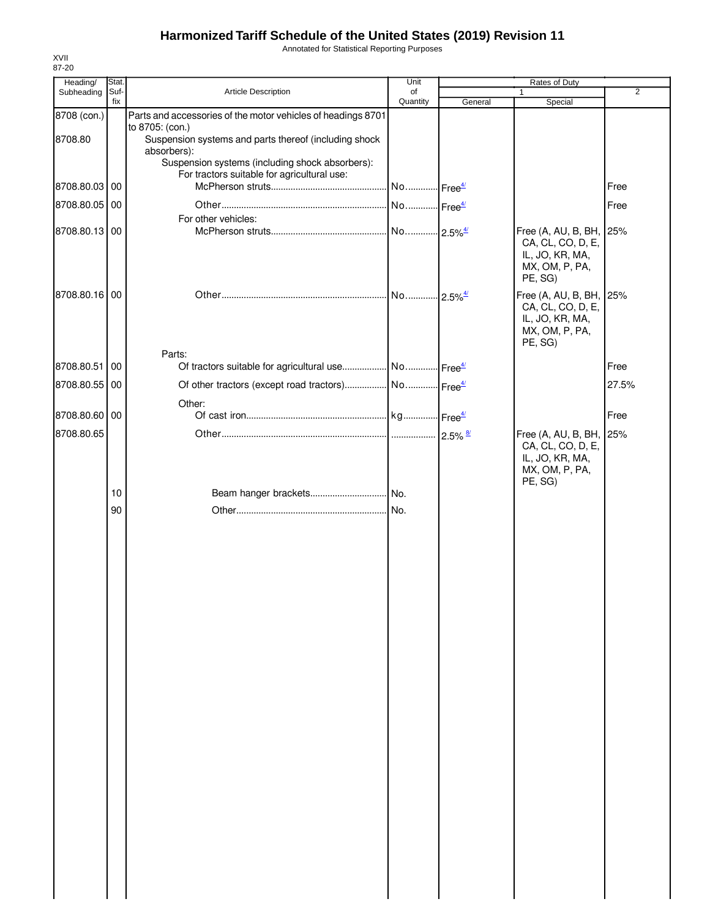Annotated for Statistical Reporting Purposes

| Heading/      | Stat.       |                                                                                                | Unit                   | Rates of Duty |                                                                                              |                |
|---------------|-------------|------------------------------------------------------------------------------------------------|------------------------|---------------|----------------------------------------------------------------------------------------------|----------------|
| Subheading    | Suf-<br>fix | Article Description                                                                            | of<br>Quantity         | General       | Special                                                                                      | $\overline{2}$ |
| 8708 (con.)   |             | Parts and accessories of the motor vehicles of headings 8701                                   |                        |               |                                                                                              |                |
| 8708.80       |             | to 8705: (con.)<br>Suspension systems and parts thereof (including shock<br>absorbers):        |                        |               |                                                                                              |                |
|               |             | Suspension systems (including shock absorbers):<br>For tractors suitable for agricultural use: |                        |               |                                                                                              |                |
| 8708.80.03 00 |             |                                                                                                | No  Free <sup>4/</sup> |               |                                                                                              | Free           |
| 8708.80.05 00 |             |                                                                                                |                        |               |                                                                                              | Free           |
|               |             | For other vehicles:                                                                            |                        |               |                                                                                              |                |
| 8708.80.13 00 |             |                                                                                                | No 2.5% <sup>4/</sup>  |               | Free (A, AU, B, BH, 25%<br>CA, CL, CO, D, E,<br>IL, JO, KR, MA,<br>MX, OM, P, PA,<br>PE, SG) |                |
| 8708.80.16 00 |             |                                                                                                |                        |               | Free (A, AU, B, BH, 25%<br>CA, CL, CO, D, E,<br>IL, JO, KR, MA,<br>MX, OM, P, PA,<br>PE, SG) |                |
| 8708.80.51 00 |             | Parts:<br>Of tractors suitable for agricultural use  No  Free <sup>4/</sup>                    |                        |               |                                                                                              | Free           |
| 8708.80.55 00 |             | Of other tractors (except road tractors)  No  Free <sup>4/</sup>                               |                        |               |                                                                                              | 27.5%          |
|               |             | Other:                                                                                         |                        |               |                                                                                              |                |
| 8708.80.60 00 |             |                                                                                                |                        |               |                                                                                              | Free           |
| 8708.80.65    | 10<br>90    |                                                                                                |                        |               | Free (A, AU, B, BH, 25%<br>CA, CL, CO, D, E,<br>IL, JO, KR, MA,<br>MX, OM, P, PA,<br>PE, SG) |                |
|               |             |                                                                                                |                        |               |                                                                                              |                |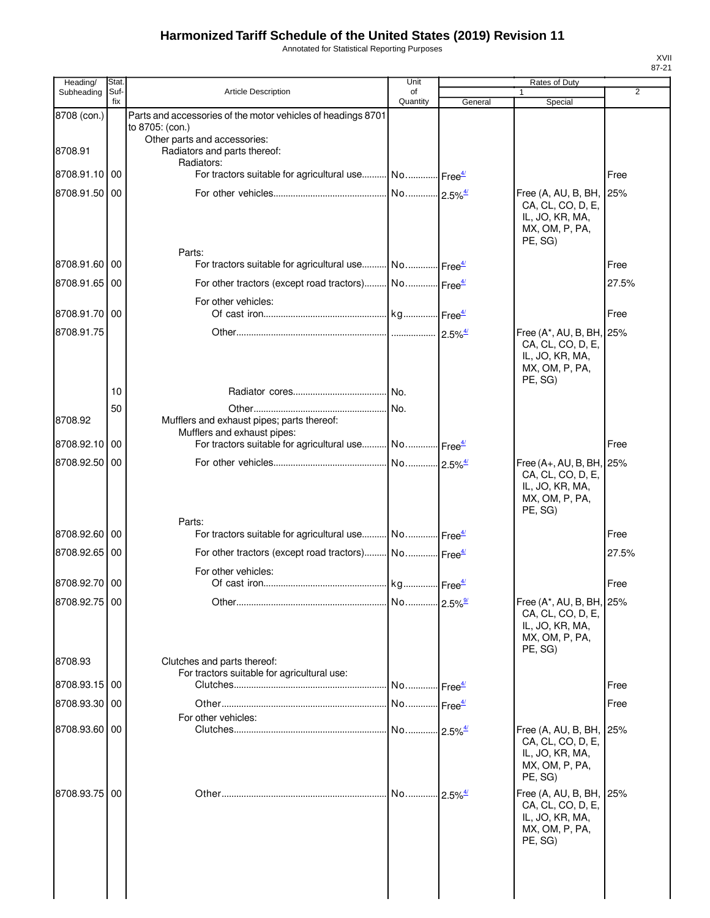Annotated for Statistical Reporting Purposes

| Heading/      | Stat.       |                                                                                                 | Unit                  |                                             | Rates of Duty                                 |                |
|---------------|-------------|-------------------------------------------------------------------------------------------------|-----------------------|---------------------------------------------|-----------------------------------------------|----------------|
| Subheading    | Suf-<br>fix | <b>Article Description</b>                                                                      | of<br>Quantity        | General                                     | $\mathbf{1}$<br>Special                       | $\overline{2}$ |
| 8708 (con.)   |             | Parts and accessories of the motor vehicles of headings 8701                                    |                       |                                             |                                               |                |
|               |             | to 8705: (con.)<br>Other parts and accessories:                                                 |                       |                                             |                                               |                |
| 8708.91       |             | Radiators and parts thereof:                                                                    |                       |                                             |                                               |                |
|               |             | Radiators:                                                                                      |                       |                                             |                                               |                |
| 8708.91.10 00 |             | For tractors suitable for agricultural use No Free <sup>4/</sup>                                |                       |                                             |                                               | Free           |
| 8708.91.50 00 |             |                                                                                                 |                       |                                             | Free (A, AU, B, BH,<br>CA, CL, CO, D, E,      | 25%            |
|               |             |                                                                                                 |                       |                                             | IL, JO, KR, MA,                               |                |
|               |             |                                                                                                 |                       |                                             | MX, OM, P, PA,<br>PE, SG)                     |                |
|               |             | Parts:                                                                                          |                       |                                             |                                               |                |
| 8708.91.60 00 |             | For tractors suitable for agricultural use No Free <sup>4/</sup>                                |                       |                                             |                                               | Free           |
| 8708.91.65 00 |             | For other tractors (except road tractors) No Free <sup>4/</sup>                                 |                       |                                             |                                               | 27.5%          |
|               |             | For other vehicles:                                                                             |                       |                                             |                                               |                |
| 8708.91.70 00 |             |                                                                                                 |                       |                                             |                                               | Free           |
| 8708.91.75    |             |                                                                                                 |                       |                                             | Free (A*, AU, B, BH,                          | 25%            |
|               |             |                                                                                                 |                       |                                             | CA, CL, CO, D, E,<br>IL, JO, KR, MA,          |                |
|               |             |                                                                                                 |                       |                                             | MX, OM, P, PA,                                |                |
|               | 10          |                                                                                                 |                       |                                             | PE, SG)                                       |                |
|               | 50          |                                                                                                 | No.                   |                                             |                                               |                |
| 8708.92       |             | Mufflers and exhaust pipes; parts thereof:                                                      |                       |                                             |                                               |                |
| 8708.92.10 00 |             | Mufflers and exhaust pipes:<br>For tractors suitable for agricultural use No Free <sup>4/</sup> |                       |                                             |                                               | Free           |
| 8708.92.50 00 |             |                                                                                                 | No 2.5% <sup>4/</sup> |                                             | Free (A+, AU, B, BH,                          | 25%            |
|               |             |                                                                                                 |                       |                                             | CA, CL, CO, D, E,                             |                |
|               |             |                                                                                                 |                       |                                             | IL, JO, KR, MA,                               |                |
|               |             |                                                                                                 |                       |                                             | MX, OM, P, PA,<br>PE, SG)                     |                |
|               |             | Parts:                                                                                          |                       |                                             |                                               |                |
| 8708.92.60 00 |             | For tractors suitable for agricultural use No Free <sup>4/</sup>                                |                       |                                             |                                               | Free           |
| 8708.92.65 00 |             | For other tractors (except road tractors) No Free <sup>4/</sup>                                 |                       |                                             |                                               | 27.5%          |
|               |             | For other vehicles:                                                                             |                       |                                             |                                               |                |
| 8708.92.70 00 |             |                                                                                                 |                       |                                             |                                               | Free           |
| 8708.92.75 00 |             |                                                                                                 | No                    | $2.5\%$ <sup>9/</sup>                       | Free (A*, AU, B, BH, 25%<br>CA, CL, CO, D, E, |                |
|               |             |                                                                                                 |                       |                                             | IL, JO, KR, MA,                               |                |
|               |             |                                                                                                 |                       |                                             | MX, OM, P, PA,                                |                |
| 8708.93       |             | Clutches and parts thereof:                                                                     |                       |                                             | PE, SG)                                       |                |
|               |             | For tractors suitable for agricultural use:                                                     |                       |                                             |                                               |                |
| 8708.93.15 00 |             |                                                                                                 | No Free <sup>4/</sup> |                                             |                                               | Free           |
| 8708.93.30 00 |             | For other vehicles:                                                                             | No Free <sup>4/</sup> |                                             |                                               | Free           |
| 8708.93.60 00 |             |                                                                                                 |                       |                                             | Free (A, AU, B, BH,                           | 25%            |
|               |             |                                                                                                 |                       |                                             | CA, CL, CO, D, E,                             |                |
|               |             |                                                                                                 |                       |                                             | IL, JO, KR, MA,<br>MX, OM, P, PA,             |                |
|               |             |                                                                                                 |                       |                                             | PE, SG)                                       |                |
| 8708.93.75 00 |             |                                                                                                 | No                    | $2.5\%$ <sup><math>\frac{4}{2}</math></sup> | Free (A, AU, B, BH,                           | 25%            |
|               |             |                                                                                                 |                       |                                             | CA, CL, CO, D, E,<br>IL, JO, KR, MA,          |                |
|               |             |                                                                                                 |                       |                                             | MX, OM, P, PA,                                |                |
|               |             |                                                                                                 |                       |                                             | PE, SG)                                       |                |
|               |             |                                                                                                 |                       |                                             |                                               |                |
|               |             |                                                                                                 |                       |                                             |                                               |                |
|               |             |                                                                                                 |                       |                                             |                                               |                |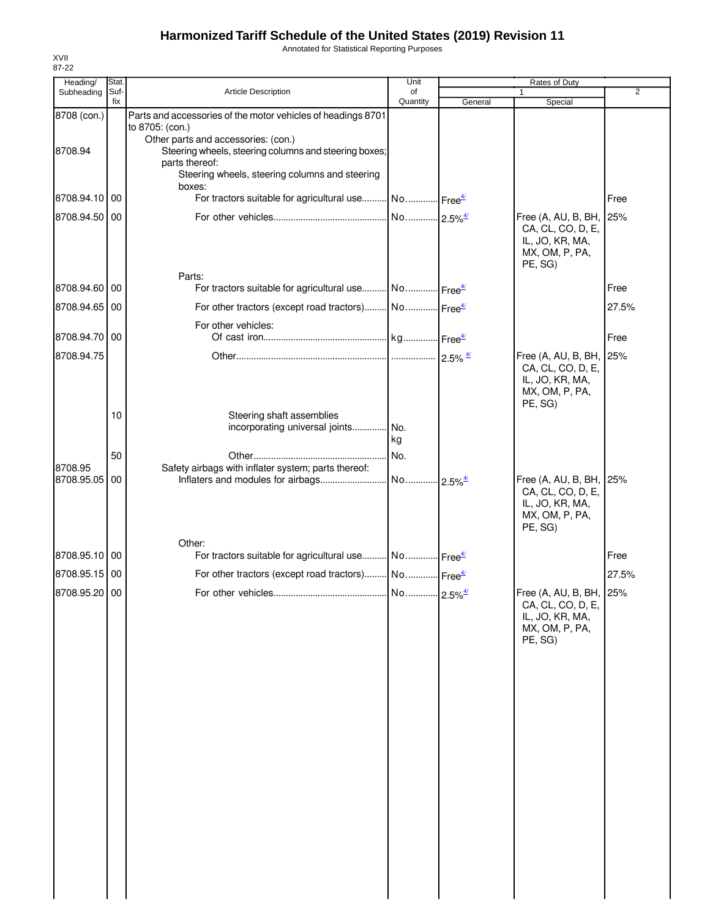Annotated for Statistical Reporting Purposes

| Heading/              | Stat.       |                                                                                                                                                                            | Unit                  |                        | Rates of Duty                                                                                |                |
|-----------------------|-------------|----------------------------------------------------------------------------------------------------------------------------------------------------------------------------|-----------------------|------------------------|----------------------------------------------------------------------------------------------|----------------|
| Subheading            | Suf-<br>fix | Article Description                                                                                                                                                        | of<br>Quantity        | General                | $\mathbf{1}$<br>Special                                                                      | $\overline{2}$ |
| 8708 (con.)           |             | Parts and accessories of the motor vehicles of headings 8701<br>to 8705: (con.)                                                                                            |                       |                        |                                                                                              |                |
| 8708.94               |             | Other parts and accessories: (con.)<br>Steering wheels, steering columns and steering boxes;<br>parts thereof:<br>Steering wheels, steering columns and steering<br>boxes: |                       |                        |                                                                                              |                |
| 8708.94.10 00         |             | For tractors suitable for agricultural use No Free <sup>4/</sup>                                                                                                           |                       |                        |                                                                                              | Free           |
| 8708.94.50 00         |             |                                                                                                                                                                            |                       |                        | Free (A, AU, B, BH, 25%<br>CA, CL, CO, D, E,<br>IL, JO, KR, MA,<br>MX, OM, P, PA,<br>PE, SG) |                |
| 8708.94.60 00         |             | Parts:<br>For tractors suitable for agricultural use No Free <sup>4/</sup>                                                                                                 |                       |                        |                                                                                              | Free           |
|                       |             |                                                                                                                                                                            |                       |                        |                                                                                              |                |
| 8708.94.65 00         |             | For other tractors (except road tractors) No Free <sup>4/</sup>                                                                                                            |                       |                        |                                                                                              | 27.5%          |
| 8708.94.70 00         |             | For other vehicles:                                                                                                                                                        |                       |                        |                                                                                              | Free           |
| 8708.94.75            |             |                                                                                                                                                                            |                       |                        | Free (A, AU, B, BH, 25%<br>CA, CL, CO, D, E,<br>IL, JO, KR, MA,<br>MX, OM, P, PA,<br>PE, SG) |                |
|                       | 10          | Steering shaft assemblies<br>incorporating universal joints                                                                                                                | No.<br>kg             |                        |                                                                                              |                |
|                       | 50          |                                                                                                                                                                            | No.                   |                        |                                                                                              |                |
| 8708.95<br>8708.95.05 | 00          | Safety airbags with inflater system; parts thereof:<br>Inflaters and modules for airbags                                                                                   | No 2.5% <sup>4/</sup> |                        | Free (A, AU, B, BH, 25%<br>CA, CL, CO, D, E,<br>IL, JO, KR, MA,<br>MX, OM, P, PA,<br>PE, SG) |                |
|                       |             | Other:                                                                                                                                                                     |                       |                        |                                                                                              |                |
| 8708.95.10 00         |             | For tractors suitable for agricultural use No Free <sup>4/</sup>                                                                                                           |                       |                        |                                                                                              | Free           |
| 8708.95.15 00         |             | For other tractors (except road tractors) No Free <sup>4/</sup>                                                                                                            |                       |                        |                                                                                              | 27.5%          |
| 8708.95.20 00         |             |                                                                                                                                                                            | No                    | $-2.5\%$ <sup>4/</sup> | Free (A, AU, B, BH, 25%<br>CA, CL, CO, D, E,<br>IL, JO, KR, MA,<br>MX, OM, P, PA,<br>PE, SG) |                |
|                       |             |                                                                                                                                                                            |                       |                        |                                                                                              |                |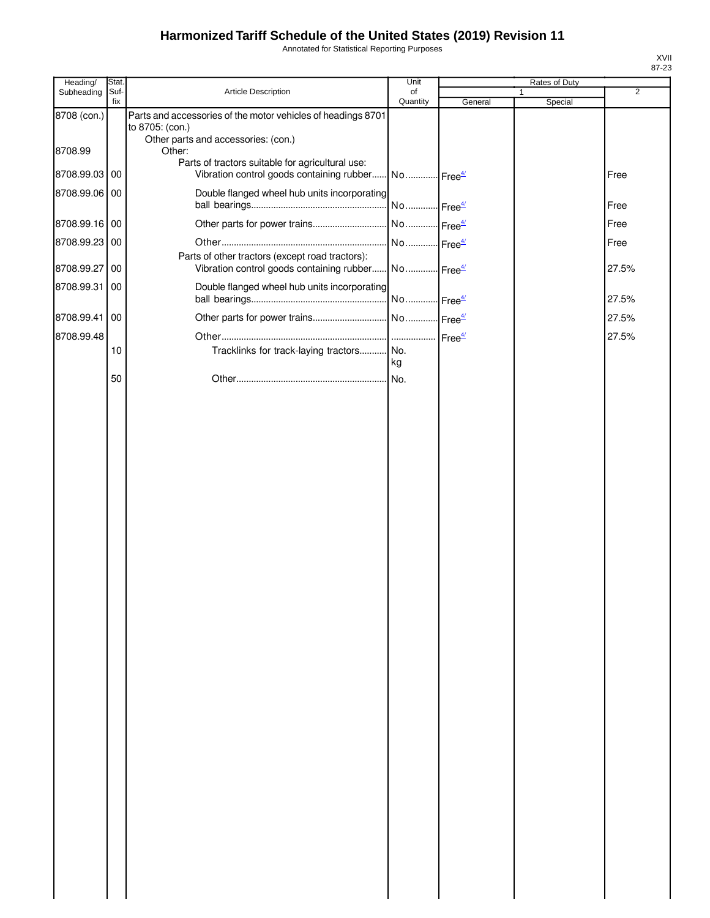Annotated for Statistical Reporting Purposes

| Heading/      | Stat.       |                                                                                               | Unit                  |         | Rates of Duty |                |
|---------------|-------------|-----------------------------------------------------------------------------------------------|-----------------------|---------|---------------|----------------|
| Subheading    | Suf-<br>fix | Article Description                                                                           | of<br>Quantity        | General | 1<br>Special  | $\overline{2}$ |
| 8708 (con.)   |             | Parts and accessories of the motor vehicles of headings 8701<br>to 8705: (con.)               |                       |         |               |                |
| 8708.99       |             | Other parts and accessories: (con.)<br>Other:                                                 |                       |         |               |                |
| 8708.99.03 00 |             | Parts of tractors suitable for agricultural use:<br>Vibration control goods containing rubber | No Free <sup>4/</sup> |         |               | Free           |
| 8708.99.06 00 |             | Double flanged wheel hub units incorporating                                                  | No Free <sup>4/</sup> |         |               | Free           |
| 8708.99.16 00 |             | Other parts for power trains                                                                  | No Free <sup>4/</sup> |         |               | Free           |
| 8708.99.23 00 |             |                                                                                               | No Free <sup>4/</sup> |         |               | Free           |
| 8708.99.27 00 |             | Parts of other tractors (except road tractors):<br>Vibration control goods containing rubber  | No Free <sup>4/</sup> |         |               | 27.5%          |
| 8708.99.31 00 |             | Double flanged wheel hub units incorporating                                                  | No Free <sup>4/</sup> |         |               | 27.5%          |
| 8708.99.41 00 |             |                                                                                               |                       |         |               | 27.5%          |
| 8708.99.48    |             |                                                                                               |                       |         |               | 27.5%          |
|               | 10          | Tracklinks for track-laying tractors No.                                                      |                       |         |               |                |
|               |             |                                                                                               | kg                    |         |               |                |
|               | 50          |                                                                                               | No.                   |         |               |                |
|               |             |                                                                                               |                       |         |               |                |
|               |             |                                                                                               |                       |         |               |                |
|               |             |                                                                                               |                       |         |               |                |
|               |             |                                                                                               |                       |         |               |                |
|               |             |                                                                                               |                       |         |               |                |
|               |             |                                                                                               |                       |         |               |                |
|               |             |                                                                                               |                       |         |               |                |
|               |             |                                                                                               |                       |         |               |                |
|               |             |                                                                                               |                       |         |               |                |
|               |             |                                                                                               |                       |         |               |                |
|               |             |                                                                                               |                       |         |               |                |
|               |             |                                                                                               |                       |         |               |                |
|               |             |                                                                                               |                       |         |               |                |
|               |             |                                                                                               |                       |         |               |                |
|               |             |                                                                                               |                       |         |               |                |
|               |             |                                                                                               |                       |         |               |                |
|               |             |                                                                                               |                       |         |               |                |
|               |             |                                                                                               |                       |         |               |                |
|               |             |                                                                                               |                       |         |               |                |
|               |             |                                                                                               |                       |         |               |                |
|               |             |                                                                                               |                       |         |               |                |
|               |             |                                                                                               |                       |         |               |                |
|               |             |                                                                                               |                       |         |               |                |
|               |             |                                                                                               |                       |         |               |                |
|               |             |                                                                                               |                       |         |               |                |
|               |             |                                                                                               |                       |         |               |                |
|               |             |                                                                                               |                       |         |               |                |
|               |             |                                                                                               |                       |         |               |                |
|               |             |                                                                                               |                       |         |               |                |
|               |             |                                                                                               |                       |         |               |                |
|               |             |                                                                                               |                       |         |               |                |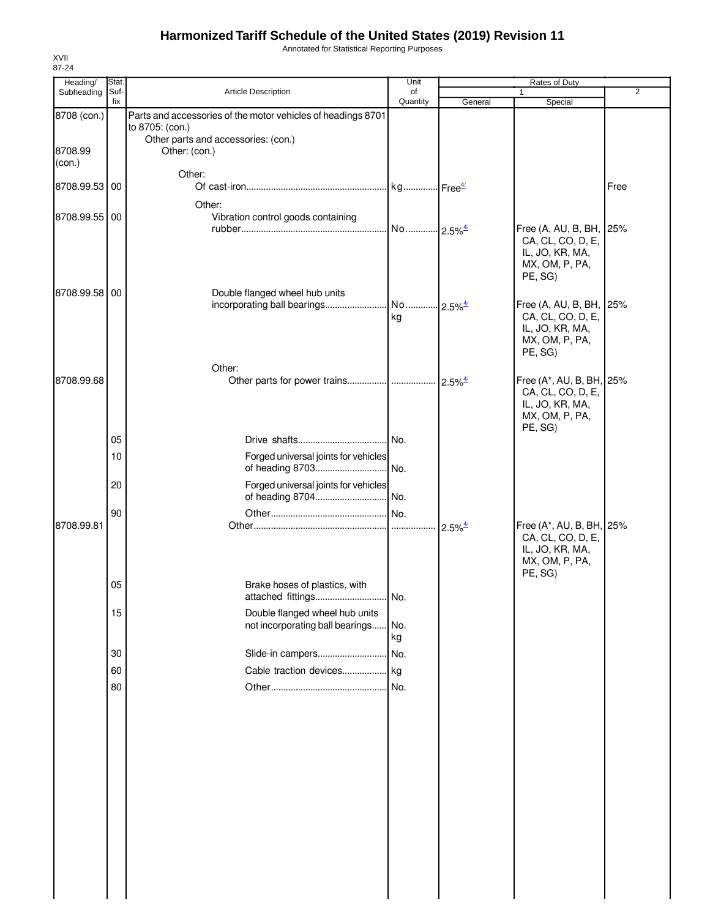Annotated for Statistical Reporting Purposes

| Heading/          | Stat.       |                                                              | Unit                  |                                             | Rates of Duty                                 |                |
|-------------------|-------------|--------------------------------------------------------------|-----------------------|---------------------------------------------|-----------------------------------------------|----------------|
| Subheading        | Suf-<br>fix | Article Description                                          | of<br>Quantity        | General                                     | 1<br>Special                                  | $\overline{2}$ |
| 8708 (con.)       |             | Parts and accessories of the motor vehicles of headings 8701 |                       |                                             |                                               |                |
|                   |             | to 8705: (con.)                                              |                       |                                             |                                               |                |
|                   |             | Other parts and accessories: (con.)                          |                       |                                             |                                               |                |
| 8708.99<br>(con.) |             | Other: (con.)                                                |                       |                                             |                                               |                |
|                   |             | Other:                                                       |                       |                                             |                                               |                |
| 8708.99.53 00     |             |                                                              | kg Free <sup>4/</sup> |                                             |                                               | Free           |
|                   |             | Other:                                                       |                       |                                             |                                               |                |
| 8708.99.55 00     |             | Vibration control goods containing                           |                       |                                             |                                               |                |
|                   |             |                                                              | No 2.5% <sup>4/</sup> |                                             | Free (A, AU, B, BH, 25%                       |                |
|                   |             |                                                              |                       |                                             | CA, CL, CO, D, E,<br>IL, JO, KR, MA,          |                |
|                   |             |                                                              |                       |                                             | MX, OM, P, PA,                                |                |
|                   |             |                                                              |                       |                                             | PE, SG)                                       |                |
| 8708.99.58 00     |             | Double flanged wheel hub units                               |                       |                                             |                                               |                |
|                   |             | incorporating ball bearings                                  | No 2.5% <sup>4/</sup> |                                             | Free (A, AU, B, BH, 25%                       |                |
|                   |             |                                                              | kg                    |                                             | CA, CL, CO, D, E,<br>IL, JO, KR, MA,          |                |
|                   |             |                                                              |                       |                                             | MX, OM, P, PA,                                |                |
|                   |             |                                                              |                       |                                             | PE, SG)                                       |                |
|                   |             | Other:                                                       |                       |                                             |                                               |                |
| 8708.99.68        |             |                                                              |                       | $2.5\%$ <sup><math>\frac{4}{2}</math></sup> | Free (A*, AU, B, BH, 25%                      |                |
|                   |             |                                                              |                       |                                             | CA, CL, CO, D, E,                             |                |
|                   |             |                                                              |                       |                                             | IL, JO, KR, MA,<br>MX, OM, P, PA,             |                |
|                   |             |                                                              |                       |                                             | PE, SG)                                       |                |
|                   | 05          |                                                              | No.                   |                                             |                                               |                |
|                   | 10          | Forged universal joints for vehicles                         |                       |                                             |                                               |                |
|                   |             | of heading 8703                                              | No.                   |                                             |                                               |                |
|                   | 20          | Forged universal joints for vehicles                         |                       |                                             |                                               |                |
|                   |             |                                                              |                       |                                             |                                               |                |
|                   | 90          |                                                              | No.                   |                                             |                                               |                |
| 8708.99.81        |             |                                                              |                       |                                             | Free (A*, AU, B, BH, 25%<br>CA, CL, CO, D, E, |                |
|                   |             |                                                              |                       |                                             | IL, JO, KR, MA,                               |                |
|                   |             |                                                              |                       |                                             | MX, OM, P, PA,                                |                |
|                   |             |                                                              |                       |                                             | PE, SG)                                       |                |
|                   | 05          | Brake hoses of plastics, with                                | .I No.                |                                             |                                               |                |
|                   | 15          | Double flanged wheel hub units                               |                       |                                             |                                               |                |
|                   |             | not incorporating ball bearings                              | No.                   |                                             |                                               |                |
|                   |             |                                                              | kg                    |                                             |                                               |                |
|                   | 30          | Slide-in campers                                             | No.                   |                                             |                                               |                |
|                   | 60          | Cable traction devices                                       | kg                    |                                             |                                               |                |
|                   | 80          |                                                              | No.                   |                                             |                                               |                |
|                   |             |                                                              |                       |                                             |                                               |                |
|                   |             |                                                              |                       |                                             |                                               |                |
|                   |             |                                                              |                       |                                             |                                               |                |
|                   |             |                                                              |                       |                                             |                                               |                |
|                   |             |                                                              |                       |                                             |                                               |                |
|                   |             |                                                              |                       |                                             |                                               |                |
|                   |             |                                                              |                       |                                             |                                               |                |
|                   |             |                                                              |                       |                                             |                                               |                |
|                   |             |                                                              |                       |                                             |                                               |                |
|                   |             |                                                              |                       |                                             |                                               |                |
|                   |             |                                                              |                       |                                             |                                               |                |
|                   |             |                                                              |                       |                                             |                                               |                |
|                   |             |                                                              |                       |                                             |                                               |                |
|                   |             |                                                              |                       |                                             |                                               |                |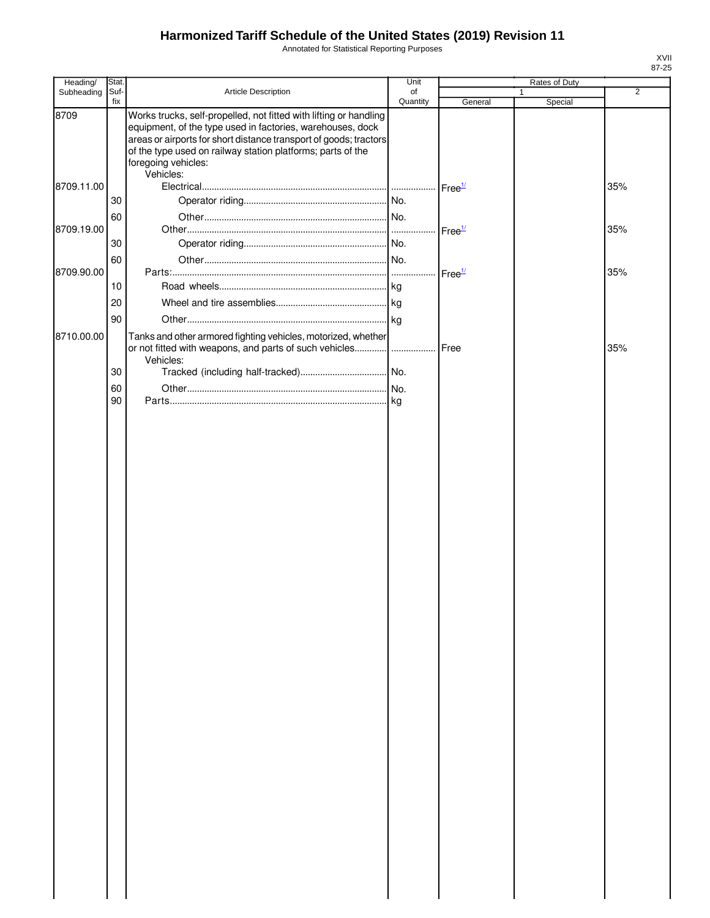Annotated for Statistical Reporting Purposes

| Stat. |                                                                                                                                                        | Unit                                                                                                         |                                                                                                                                                      | Rates of Duty                                                                                                                              |         |
|-------|--------------------------------------------------------------------------------------------------------------------------------------------------------|--------------------------------------------------------------------------------------------------------------|------------------------------------------------------------------------------------------------------------------------------------------------------|--------------------------------------------------------------------------------------------------------------------------------------------|---------|
|       |                                                                                                                                                        |                                                                                                              |                                                                                                                                                      | 1                                                                                                                                          | 2       |
|       | Works trucks, self-propelled, not fitted with lifting or handling<br>equipment, of the type used in factories, warehouses, dock<br>foregoing vehicles: |                                                                                                              |                                                                                                                                                      |                                                                                                                                            |         |
|       |                                                                                                                                                        |                                                                                                              |                                                                                                                                                      |                                                                                                                                            | 35%     |
| 30    |                                                                                                                                                        |                                                                                                              |                                                                                                                                                      |                                                                                                                                            |         |
| 60    |                                                                                                                                                        |                                                                                                              |                                                                                                                                                      |                                                                                                                                            | 35%     |
| 30    |                                                                                                                                                        |                                                                                                              |                                                                                                                                                      |                                                                                                                                            |         |
| 60    |                                                                                                                                                        |                                                                                                              |                                                                                                                                                      |                                                                                                                                            | 35%     |
| 10    |                                                                                                                                                        |                                                                                                              |                                                                                                                                                      |                                                                                                                                            |         |
| 20    |                                                                                                                                                        |                                                                                                              |                                                                                                                                                      |                                                                                                                                            |         |
|       |                                                                                                                                                        |                                                                                                              |                                                                                                                                                      |                                                                                                                                            |         |
|       |                                                                                                                                                        |                                                                                                              |                                                                                                                                                      |                                                                                                                                            |         |
|       |                                                                                                                                                        |                                                                                                              |                                                                                                                                                      |                                                                                                                                            | 35%     |
| 30    |                                                                                                                                                        |                                                                                                              |                                                                                                                                                      |                                                                                                                                            |         |
| 60    |                                                                                                                                                        |                                                                                                              |                                                                                                                                                      |                                                                                                                                            |         |
|       |                                                                                                                                                        |                                                                                                              |                                                                                                                                                      |                                                                                                                                            |         |
|       |                                                                                                                                                        |                                                                                                              |                                                                                                                                                      |                                                                                                                                            |         |
|       | Suf-<br>fix<br>90<br>90                                                                                                                                | Article Description<br>of the type used on railway station platforms; parts of the<br>Vehicles:<br>Vehicles: | of<br>Quantity<br>areas or airports for short distance transport of goods; tractors<br>Tanks and other armored fighting vehicles, motorized, whether | General<br>Free $\frac{1}{2}$<br>Free <sup>1/</sup><br>Free <sup>1/</sup><br>or not fitted with weapons, and parts of such vehicles   Free | Special |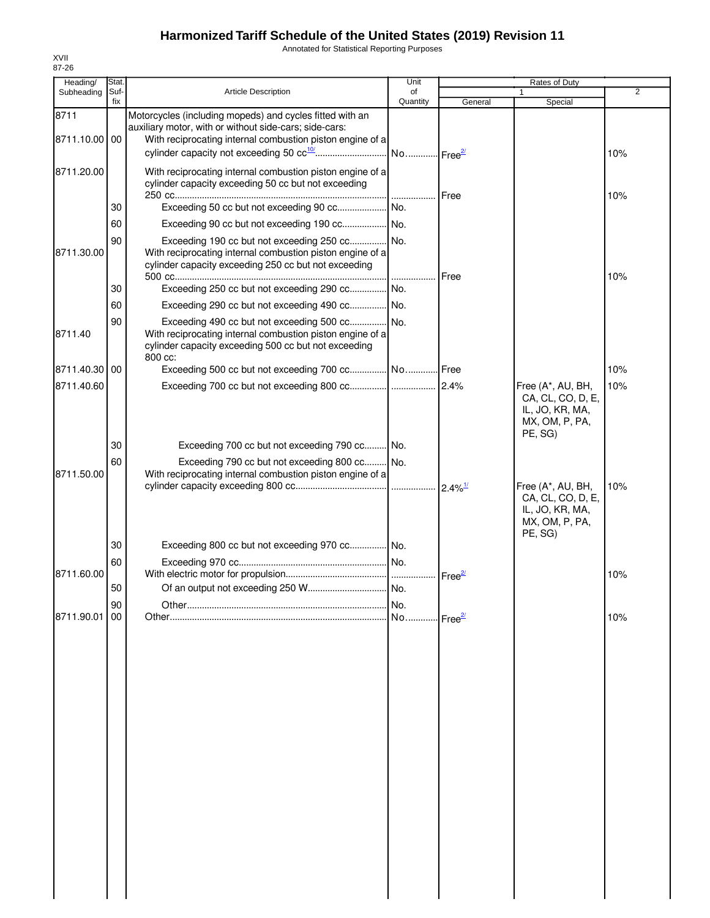Annotated for Statistical Reporting Purposes

| Heading/              | <b>Stat</b> |                                                                                                                                                                                 | Unit                  |                       | Rates of Duty                                                                          |                |
|-----------------------|-------------|---------------------------------------------------------------------------------------------------------------------------------------------------------------------------------|-----------------------|-----------------------|----------------------------------------------------------------------------------------|----------------|
| Subheading            | Suf-        | <b>Article Description</b>                                                                                                                                                      | of                    |                       |                                                                                        | $\overline{2}$ |
|                       | fix         |                                                                                                                                                                                 | Quantity              | General               | Special                                                                                |                |
| 8711<br>8711.10.00 00 |             | Motorcycles (including mopeds) and cycles fitted with an<br>auxiliary motor, with or without side-cars; side-cars:<br>With reciprocating internal combustion piston engine of a |                       |                       |                                                                                        |                |
|                       |             |                                                                                                                                                                                 |                       |                       |                                                                                        | 10%            |
| 8711.20.00            |             | With reciprocating internal combustion piston engine of a<br>cylinder capacity exceeding 50 cc but not exceeding                                                                |                       | Free                  |                                                                                        | 10%            |
|                       | 30          |                                                                                                                                                                                 |                       |                       |                                                                                        |                |
|                       | 60          |                                                                                                                                                                                 |                       |                       |                                                                                        |                |
| 8711.30.00            | 90          | Exceeding 190 cc but not exceeding 250 cc No.<br>With reciprocating internal combustion piston engine of a<br>cylinder capacity exceeding 250 cc but not exceeding              |                       | <b>I</b> Free         |                                                                                        | 10%            |
|                       | 30          | Exceeding 250 cc but not exceeding 290 cc No.                                                                                                                                   |                       |                       |                                                                                        |                |
|                       | 60          | Exceeding 290 cc but not exceeding 490 cc No.                                                                                                                                   |                       |                       |                                                                                        |                |
| 8711.40               | 90          | With reciprocating internal combustion piston engine of a<br>cylinder capacity exceeding 500 cc but not exceeding<br>800 cc:                                                    |                       |                       |                                                                                        |                |
| 8711.40.30 00         |             | Exceeding 500 cc but not exceeding 700 cc No Free                                                                                                                               |                       |                       |                                                                                        | 10%            |
| 8711.40.60            |             |                                                                                                                                                                                 |                       | 2.4%                  | Free (A*, AU, BH,<br>CA, CL, CO, D, E,<br>IL, JO, KR, MA,<br>MX, OM, P, PA,<br>PE, SG) | 10%            |
|                       | 30          | Exceeding 700 cc but not exceeding 790 cc No.                                                                                                                                   |                       |                       |                                                                                        |                |
| 8711.50.00            | 60          | Exceeding 790 cc but not exceeding 800 cc No.<br>With reciprocating internal combustion piston engine of a                                                                      |                       | $2.4\%$ <sup>1/</sup> | Free (A*, AU, BH,                                                                      | 10%            |
|                       |             |                                                                                                                                                                                 |                       |                       | CA, CL, CO, D, E,<br>IL, JO, KR, MA,<br>MX, OM, P, PA,<br>PE, SG)                      |                |
|                       | 30          | Exceeding 800 cc but not exceeding 970 cc No.                                                                                                                                   |                       |                       |                                                                                        |                |
|                       | 60          |                                                                                                                                                                                 |                       |                       |                                                                                        |                |
| 8711.60.00            |             |                                                                                                                                                                                 |                       |                       |                                                                                        | 10%            |
|                       | 50          |                                                                                                                                                                                 |                       |                       |                                                                                        |                |
|                       | 90          |                                                                                                                                                                                 | No.                   |                       |                                                                                        |                |
| 8711.90.01            | 00          |                                                                                                                                                                                 | No Free <sup>2/</sup> |                       |                                                                                        | 10%            |
|                       |             |                                                                                                                                                                                 |                       |                       |                                                                                        |                |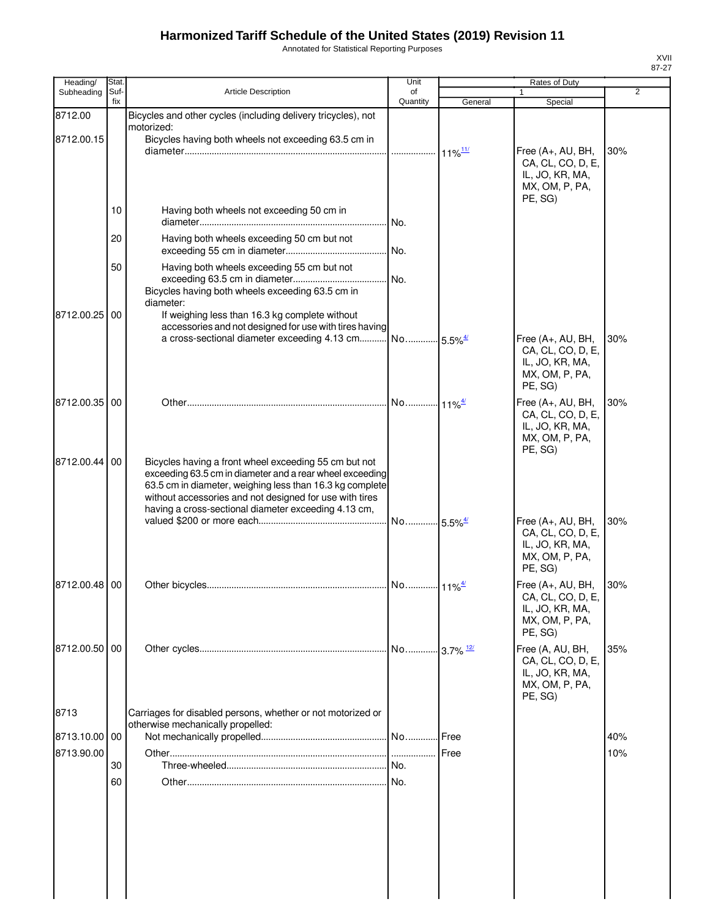Annotated for Statistical Reporting Purposes

| Heading/              | Stat.       |                                                                                                                                                                                                                                                                                                  | Unit           |         | Rates of Duty                                                                          |                |
|-----------------------|-------------|--------------------------------------------------------------------------------------------------------------------------------------------------------------------------------------------------------------------------------------------------------------------------------------------------|----------------|---------|----------------------------------------------------------------------------------------|----------------|
| Subheading            | Suf-<br>fix | <b>Article Description</b>                                                                                                                                                                                                                                                                       | of<br>Quantity | General | 1<br>Special                                                                           | $\overline{2}$ |
| 8712.00<br>8712.00.15 |             | Bicycles and other cycles (including delivery tricycles), not<br>motorized:<br>Bicycles having both wheels not exceeding 63.5 cm in                                                                                                                                                              |                |         | Free (A+, AU, BH,<br>CA, CL, CO, D, E,<br>IL, JO, KR, MA,                              | 30%            |
|                       | 10          | Having both wheels not exceeding 50 cm in                                                                                                                                                                                                                                                        |                |         | MX, OM, P, PA,<br>PE, SG)                                                              |                |
|                       | 20          | Having both wheels exceeding 50 cm but not                                                                                                                                                                                                                                                       |                |         |                                                                                        |                |
|                       | 50          | Having both wheels exceeding 55 cm but not<br>Bicycles having both wheels exceeding 63.5 cm in<br>diameter:                                                                                                                                                                                      |                |         |                                                                                        |                |
| 8712.00.25            | 00          | If weighing less than 16.3 kg complete without<br>accessories and not designed for use with tires having<br>a cross-sectional diameter exceeding 4.13 cm No 5.5% <sup>4/</sup>                                                                                                                   |                |         | Free (A+, AU, BH,                                                                      | 30%            |
|                       |             |                                                                                                                                                                                                                                                                                                  |                |         | CA, CL, CO, D, E,<br>IL, JO, KR, MA,<br>MX, OM, P, PA,<br>PE, SG)                      |                |
| 8712.00.35 00         |             |                                                                                                                                                                                                                                                                                                  |                |         | Free (A+, AU, BH,<br>CA, CL, CO, D, E,<br>IL, JO, KR, MA,<br>MX, OM, P, PA,<br>PE, SG) | 30%            |
| 8712.00.44            | 00          | Bicycles having a front wheel exceeding 55 cm but not<br>exceeding 63.5 cm in diameter and a rear wheel exceeding<br>63.5 cm in diameter, weighing less than 16.3 kg complete<br>without accessories and not designed for use with tires<br>having a cross-sectional diameter exceeding 4.13 cm, |                |         |                                                                                        |                |
|                       |             |                                                                                                                                                                                                                                                                                                  |                |         | Free (A+, AU, BH,<br>CA, CL, CO, D, E,<br>IL, JO, KR, MA,<br>MX, OM, P, PA,<br>PE, SG) | 30%            |
| 8712.00.48 00         |             |                                                                                                                                                                                                                                                                                                  |                |         | Free (A+, AU, BH,<br>CA, CL, CO, D, E,<br>IL, JO, KR, MA,<br>MX, OM, P, PA,<br>PE, SG) | 30%            |
| 8712.00.50 00         |             |                                                                                                                                                                                                                                                                                                  |                |         | Free (A, AU, BH,<br>CA, CL, CO, D, E,<br>IL, JO, KR, MA,<br>MX, OM, P, PA,<br>PE, SG)  | 35%            |
| 8713                  |             | Carriages for disabled persons, whether or not motorized or<br>otherwise mechanically propelled:                                                                                                                                                                                                 |                |         |                                                                                        |                |
| 8713.10.00 00         |             |                                                                                                                                                                                                                                                                                                  |                |         |                                                                                        | 40%            |
| 8713.90.00            |             |                                                                                                                                                                                                                                                                                                  |                |         |                                                                                        | 10%            |
|                       | 30          |                                                                                                                                                                                                                                                                                                  |                |         |                                                                                        |                |
|                       | 60          |                                                                                                                                                                                                                                                                                                  |                |         |                                                                                        |                |
|                       |             |                                                                                                                                                                                                                                                                                                  |                |         |                                                                                        |                |
|                       |             |                                                                                                                                                                                                                                                                                                  |                |         |                                                                                        |                |

XVII 87-27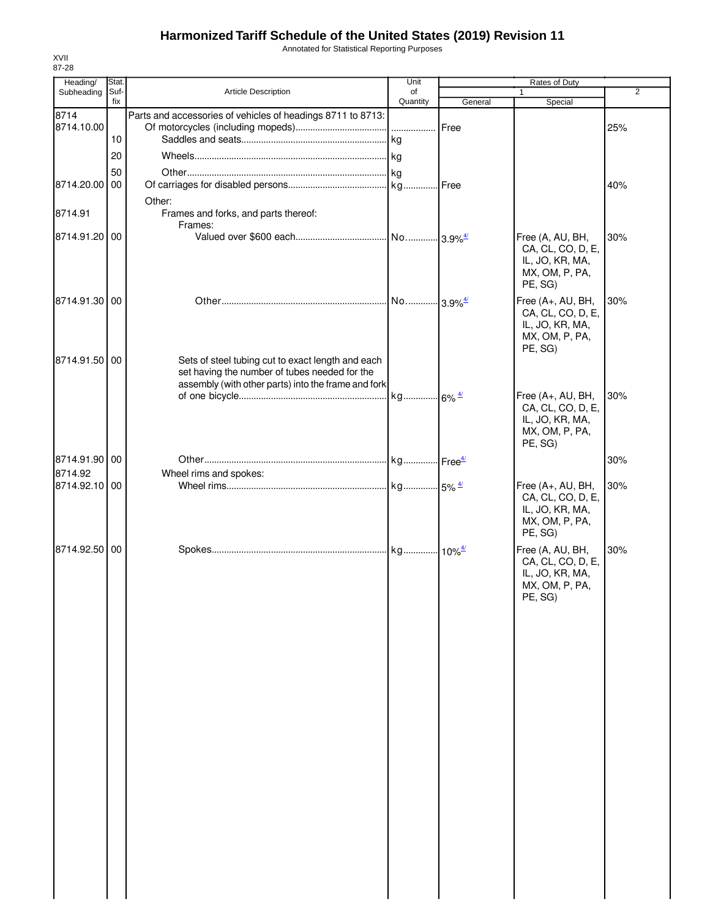Annotated for Statistical Reporting Purposes

| Heading/           | Stat. |                                                                                                                                                           | Unit     |         | Rates of Duty                                                                          |                |
|--------------------|-------|-----------------------------------------------------------------------------------------------------------------------------------------------------------|----------|---------|----------------------------------------------------------------------------------------|----------------|
| Subheading         | Suf-  | Article Description                                                                                                                                       | of       |         |                                                                                        | $\overline{2}$ |
|                    | fix   |                                                                                                                                                           | Quantity | General | Special                                                                                |                |
| 8714<br>8714.10.00 | 10    | Parts and accessories of vehicles of headings 8711 to 8713:                                                                                               |          | Free    |                                                                                        | 25%            |
|                    |       |                                                                                                                                                           |          |         |                                                                                        |                |
|                    | 20    |                                                                                                                                                           |          |         |                                                                                        |                |
|                    | 50    |                                                                                                                                                           |          |         |                                                                                        |                |
| 8714.20.00         | 00    |                                                                                                                                                           |          |         |                                                                                        | 40%            |
|                    |       | Other:                                                                                                                                                    |          |         |                                                                                        |                |
| 8714.91            |       | Frames and forks, and parts thereof:<br>Frames:                                                                                                           |          |         |                                                                                        |                |
| 8714.91.20 00      |       |                                                                                                                                                           |          |         | Free (A, AU, BH,<br>CA, CL, CO, D, E,<br>IL, JO, KR, MA,<br>MX, OM, P, PA,<br>PE, SG)  | 30%            |
| 8714.91.30 00      |       |                                                                                                                                                           |          |         | Free (A+, AU, BH,<br>CA, CL, CO, D, E,<br>IL, JO, KR, MA,<br>MX, OM, P, PA,<br>PE, SG) | 30%            |
| 8714.91.50 00      |       | Sets of steel tubing cut to exact length and each<br>set having the number of tubes needed for the<br>assembly (with other parts) into the frame and fork |          |         |                                                                                        |                |
|                    |       |                                                                                                                                                           |          |         | Free (A+, AU, BH,<br>CA, CL, CO, D, E,<br>IL, JO, KR, MA,<br>MX, OM, P, PA,            | 30%            |
|                    |       |                                                                                                                                                           |          |         | PE, SG)                                                                                |                |
| 8714.91.90 00      |       |                                                                                                                                                           |          |         |                                                                                        | 30%            |
| 8714.92            |       | Wheel rims and spokes:                                                                                                                                    |          |         |                                                                                        |                |
| 8714.92.10 00      |       |                                                                                                                                                           |          |         | Free (A+, AU, BH,<br>CA, CL, CO, D, E,<br>IL, JO, KR, MA,<br>MX, OM, P, PA,<br>PE, SG) | 30%            |
| 8714.92.50 00      |       |                                                                                                                                                           |          |         | Free (A, AU, BH,<br>CA, CL, CO, D, E,<br>IL, JO, KR, MA,<br>MX, OM, P, PA,<br>PE, SG)  | 30%            |
|                    |       |                                                                                                                                                           |          |         |                                                                                        |                |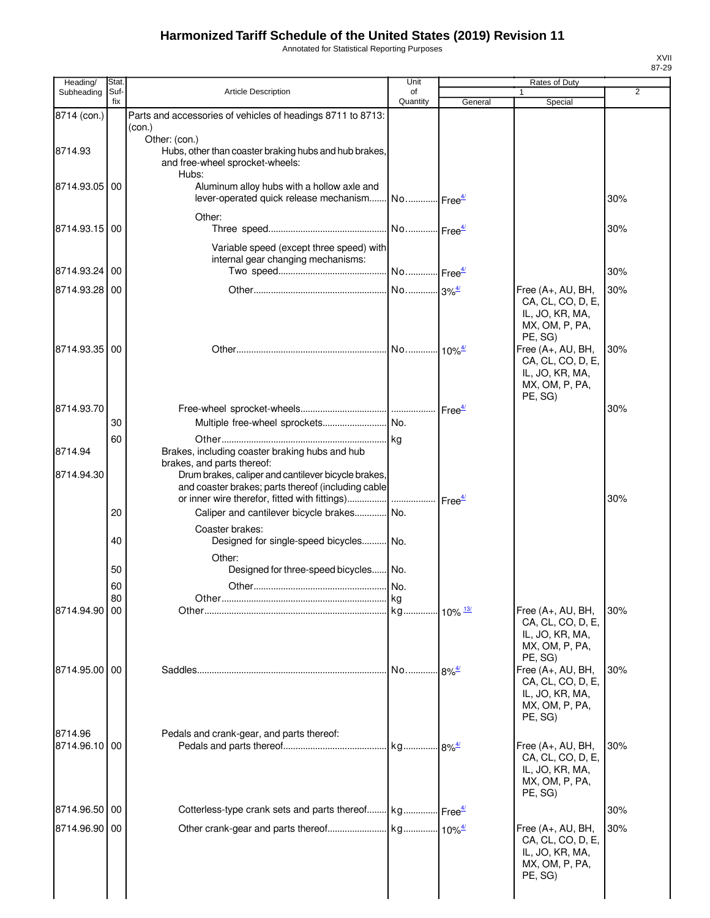Annotated for Statistical Reporting Purposes

| Heading/                 | Stat.       |                                                                                                                                                                                  | Unit           |         | Rates of Duty                                                                            |     |
|--------------------------|-------------|----------------------------------------------------------------------------------------------------------------------------------------------------------------------------------|----------------|---------|------------------------------------------------------------------------------------------|-----|
| Subheading               | Suf-<br>fix | <b>Article Description</b>                                                                                                                                                       | of<br>Quantity | General | $\mathbf{1}$<br>Special                                                                  | 2   |
| 8714 (con.)              |             | Parts and accessories of vehicles of headings 8711 to 8713:                                                                                                                      |                |         |                                                                                          |     |
|                          |             | (con.)<br>Other: (con.)                                                                                                                                                          |                |         |                                                                                          |     |
| 8714.93                  |             | Hubs, other than coaster braking hubs and hub brakes,<br>and free-wheel sprocket-wheels:<br>Hubs:                                                                                |                |         |                                                                                          |     |
| 8714.93.05 00            |             | Aluminum alloy hubs with a hollow axle and<br>lever-operated quick release mechanism No Free <sup>4/</sup>                                                                       |                |         |                                                                                          | 30% |
| 8714.93.15               | 00          | Other:                                                                                                                                                                           |                |         |                                                                                          | 30% |
|                          |             | Variable speed (except three speed) with<br>internal gear changing mechanisms:                                                                                                   |                |         |                                                                                          |     |
| 8714.93.24               | 00          |                                                                                                                                                                                  |                |         |                                                                                          | 30% |
| 8714.93.28 00            |             |                                                                                                                                                                                  |                |         | Free (A+, AU, BH,<br>CA, CL, CO, D, E,<br>IL, JO, KR, MA,<br>MX, OM, P, PA,<br>PE, SG)   | 30% |
| 8714.93.35 00            |             |                                                                                                                                                                                  |                |         | Free (A+, AU, BH,<br>CA, CL, CO, D, E,<br>IL, JO, KR, MA,<br>MX, OM, P, PA,<br>PE, SG)   | 30% |
| 8714.93.70               |             |                                                                                                                                                                                  |                |         |                                                                                          | 30% |
|                          | 30          |                                                                                                                                                                                  |                |         |                                                                                          |     |
| 8714.94                  | 60          | Brakes, including coaster braking hubs and hub<br>brakes, and parts thereof:                                                                                                     |                |         |                                                                                          |     |
| 8714.94.30               |             | Drum brakes, caliper and cantilever bicycle brakes,<br>and coaster brakes; parts thereof (including cable<br>or inner wire therefor, fitted with fittings)    Free <sup>4/</sup> |                |         |                                                                                          | 30% |
|                          | 20          | Caliper and cantilever bicycle brakes No.                                                                                                                                        |                |         |                                                                                          |     |
|                          | 40          | Coaster brakes:<br>Designed for single-speed bicycles No.                                                                                                                        |                |         |                                                                                          |     |
|                          | 50          | Other:<br>Designed for three-speed bicycles No.                                                                                                                                  |                |         |                                                                                          |     |
|                          | 60<br>80    |                                                                                                                                                                                  | l ka           |         |                                                                                          |     |
| 8714.94.90 00            |             |                                                                                                                                                                                  |                |         | Free (A+, AU, BH,<br>CA, CL, CO, D, E,<br>IL, JO, KR, MA,                                | 30% |
|                          |             |                                                                                                                                                                                  |                |         | MX, OM, P, PA,<br>PE, SG)                                                                |     |
| 8714.95.00 00            |             |                                                                                                                                                                                  |                |         | Free (A+, AU, BH,<br>CA, CL, CO, D, E,<br>IL, JO, KR, MA,<br>MX, OM, P, PA,<br>PE, SG)   | 30% |
| 8714.96<br>8714.96.10 00 |             | Pedals and crank-gear, and parts thereof:                                                                                                                                        |                |         | Free $(A+, AU, BH,$<br>CA, CL, CO, D, E,<br>IL, JO, KR, MA,<br>MX, OM, P, PA,            | 30% |
| 8714.96.50 00            |             | Cotterless-type crank sets and parts thereof kg Free <sup>4/</sup>                                                                                                               |                |         | PE, SG)                                                                                  | 30% |
|                          |             |                                                                                                                                                                                  |                |         |                                                                                          |     |
| 8714.96.90 00            |             |                                                                                                                                                                                  |                |         | Free $(A+, AU, BH,$<br>CA, CL, CO, D, E,<br>IL, JO, KR, MA,<br>MX, OM, P, PA,<br>PE, SG) | 30% |
|                          |             |                                                                                                                                                                                  |                |         |                                                                                          |     |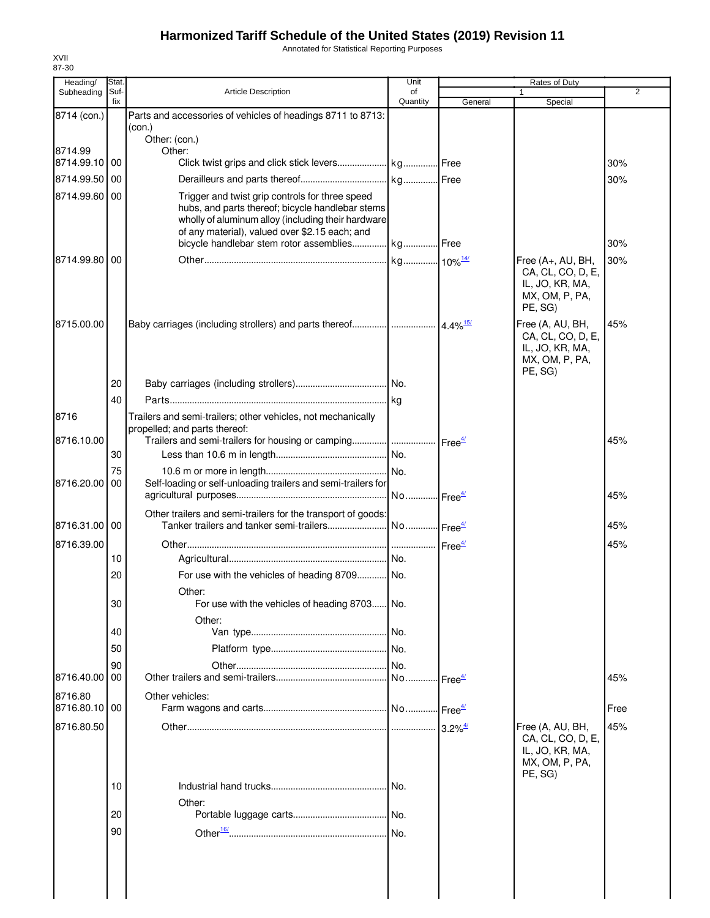Annotated for Statistical Reporting Purposes

| Heading/              | Stat.       |                                                                                                                                                                                                             | Unit           |                               | Rates of Duty                                                                         |      |
|-----------------------|-------------|-------------------------------------------------------------------------------------------------------------------------------------------------------------------------------------------------------------|----------------|-------------------------------|---------------------------------------------------------------------------------------|------|
| Subheading            | Suf-<br>fix | <b>Article Description</b>                                                                                                                                                                                  | of<br>Quantity | General                       | $\mathbf{1}$<br>Special                                                               | 2    |
| 8714 (con.)           |             | Parts and accessories of vehicles of headings 8711 to 8713:<br>(con.)                                                                                                                                       |                |                               |                                                                                       |      |
|                       |             | Other: (con.)                                                                                                                                                                                               |                |                               |                                                                                       |      |
| 8714.99<br>8714.99.10 | 00          | Other:                                                                                                                                                                                                      |                |                               |                                                                                       | 30%  |
| 8714.99.50            | 00          |                                                                                                                                                                                                             |                |                               |                                                                                       | 30%  |
| 8714.99.60            | 00          | Trigger and twist grip controls for three speed                                                                                                                                                             |                |                               |                                                                                       |      |
|                       |             | hubs, and parts thereof; bicycle handlebar stems<br>wholly of aluminum alloy (including their hardware<br>of any material), valued over \$2.15 each; and<br>bicycle handlebar stem rotor assemblies kg Free |                |                               |                                                                                       | 30%  |
| 8714.99.80            | 00          |                                                                                                                                                                                                             |                |                               | Free (A+, AU, BH,                                                                     | 30%  |
|                       |             |                                                                                                                                                                                                             |                |                               | CA, CL, CO, D, E,<br>IL, JO, KR, MA,<br>MX, OM, P, PA,<br>PE, SG)                     |      |
| 8715.00.00            |             |                                                                                                                                                                                                             |                |                               | Free (A, AU, BH,<br>CA, CL, CO, D, E,<br>IL, JO, KR, MA,<br>MX, OM, P, PA,<br>PE, SG) | 45%  |
|                       | 20          |                                                                                                                                                                                                             |                |                               |                                                                                       |      |
|                       | 40          |                                                                                                                                                                                                             |                |                               |                                                                                       |      |
| 8716                  |             | Trailers and semi-trailers; other vehicles, not mechanically                                                                                                                                                |                |                               |                                                                                       |      |
| 8716.10.00            |             | propelled; and parts thereof:                                                                                                                                                                               |                | $\textsf{Free}^{\frac{4}{2}}$ |                                                                                       | 45%  |
|                       | 30          |                                                                                                                                                                                                             |                |                               |                                                                                       |      |
|                       | 75          |                                                                                                                                                                                                             | No.            |                               |                                                                                       |      |
| 8716.20.00            | 00          | Self-loading or self-unloading trailers and semi-trailers for                                                                                                                                               |                |                               |                                                                                       |      |
|                       |             |                                                                                                                                                                                                             | No             | -Free <sup>4/</sup>           |                                                                                       | 45%  |
| 8716.31.00 00         |             | Other trailers and semi-trailers for the transport of goods:                                                                                                                                                |                |                               |                                                                                       |      |
|                       |             |                                                                                                                                                                                                             |                |                               |                                                                                       | 45%  |
| 8716.39.00            | 10          |                                                                                                                                                                                                             |                |                               |                                                                                       | 45%  |
|                       | 20          | For use with the vehicles of heading 8709 No.                                                                                                                                                               |                |                               |                                                                                       |      |
|                       |             | Other:                                                                                                                                                                                                      |                |                               |                                                                                       |      |
|                       | 30          | For use with the vehicles of heading 8703 No.                                                                                                                                                               |                |                               |                                                                                       |      |
|                       |             | Other:                                                                                                                                                                                                      |                |                               |                                                                                       |      |
|                       | 40          |                                                                                                                                                                                                             | I No.          |                               |                                                                                       |      |
|                       | 50          |                                                                                                                                                                                                             |                |                               |                                                                                       |      |
|                       | 90          |                                                                                                                                                                                                             | No.            |                               |                                                                                       |      |
| 8716.40.00            | 00          |                                                                                                                                                                                                             |                | $\cdot$ Free $\frac{4}{3}$    |                                                                                       | 45%  |
| 8716.80               |             | Other vehicles:                                                                                                                                                                                             |                |                               |                                                                                       |      |
| 8716.80.10            | 00          |                                                                                                                                                                                                             |                |                               |                                                                                       | Free |
| 8716.80.50            |             |                                                                                                                                                                                                             |                | $3.2\%$ <sup>4/</sup>         | Free (A, AU, BH,                                                                      | 45%  |
|                       |             |                                                                                                                                                                                                             |                |                               | CA, CL, CO, D, E,<br>IL, JO, KR, MA,<br>MX, OM, P, PA,<br>PE, SG)                     |      |
|                       | 10          |                                                                                                                                                                                                             | I No.          |                               |                                                                                       |      |
|                       |             | Other:                                                                                                                                                                                                      |                |                               |                                                                                       |      |
|                       | 20          |                                                                                                                                                                                                             |                |                               |                                                                                       |      |
|                       | 90          |                                                                                                                                                                                                             | No.            |                               |                                                                                       |      |
|                       |             |                                                                                                                                                                                                             |                |                               |                                                                                       |      |
|                       |             |                                                                                                                                                                                                             |                |                               |                                                                                       |      |
|                       |             |                                                                                                                                                                                                             |                |                               |                                                                                       |      |
|                       |             |                                                                                                                                                                                                             |                |                               |                                                                                       |      |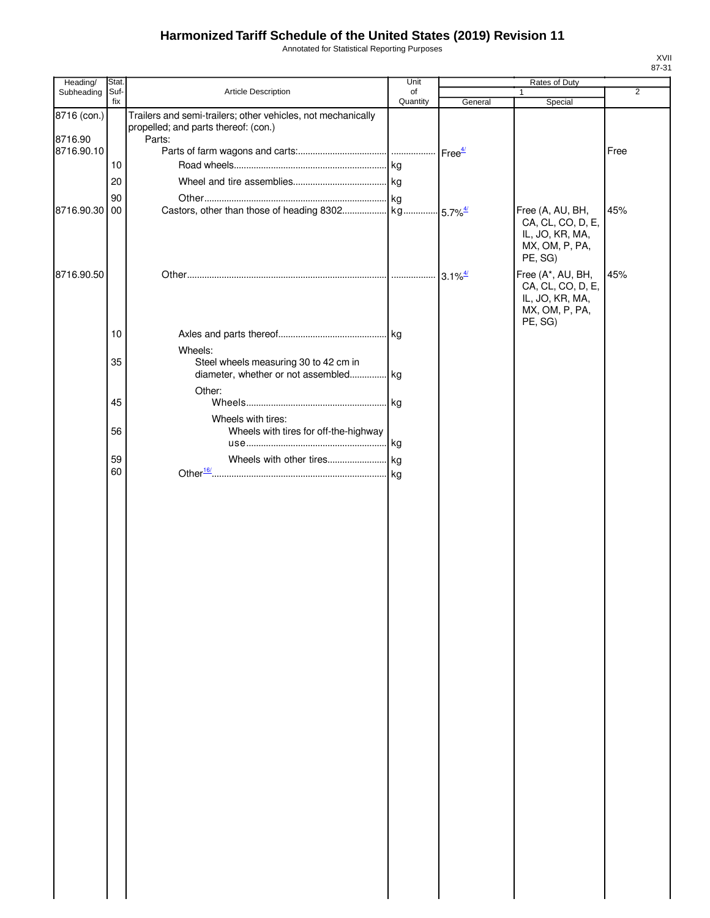Annotated for Statistical Reporting Purposes

| Heading/    | Stat.       |                                                                                | Unit           | Rates of Duty |                                        |                |
|-------------|-------------|--------------------------------------------------------------------------------|----------------|---------------|----------------------------------------|----------------|
| Subheading  | Suf-<br>fix | Article Description                                                            | of<br>Quantity | General       | $\mathbf{1}$<br>Special                | $\overline{2}$ |
| 8716 (con.) |             | Trailers and semi-trailers; other vehicles, not mechanically                   |                |               |                                        |                |
|             |             | propelled; and parts thereof: (con.)                                           |                |               |                                        |                |
| 8716.90     |             | Parts:                                                                         |                |               |                                        |                |
| 8716.90.10  | 10          |                                                                                |                |               |                                        | Free           |
|             |             |                                                                                |                |               |                                        |                |
|             | 20          |                                                                                |                |               |                                        |                |
|             | 90          |                                                                                |                |               |                                        |                |
| 8716.90.30  | 00          |                                                                                |                |               | Free (A, AU, BH,<br>CA, CL, CO, D, E,  | 45%            |
|             |             |                                                                                |                |               | IL, JO, KR, MA,                        |                |
|             |             |                                                                                |                |               | MX, OM, P, PA,                         |                |
|             |             |                                                                                |                |               | PE, SG)                                |                |
| 8716.90.50  |             |                                                                                |                |               | Free (A*, AU, BH,<br>CA, CL, CO, D, E, | 45%            |
|             |             |                                                                                |                |               | IL, JO, KR, MA,                        |                |
|             |             |                                                                                |                |               | MX, OM, P, PA,                         |                |
|             |             |                                                                                |                |               | PE, SG)                                |                |
|             | 10          |                                                                                |                |               |                                        |                |
|             |             | Wheels:                                                                        |                |               |                                        |                |
|             | 35          | Steel wheels measuring 30 to 42 cm in<br>diameter, whether or not assembled kg |                |               |                                        |                |
|             |             | Other:                                                                         |                |               |                                        |                |
|             | 45          |                                                                                |                |               |                                        |                |
|             |             | Wheels with tires:                                                             |                |               |                                        |                |
|             | 56          | Wheels with tires for off-the-highway                                          |                |               |                                        |                |
|             |             |                                                                                |                |               |                                        |                |
|             | 59          |                                                                                |                |               |                                        |                |
|             | 60          |                                                                                |                |               |                                        |                |
|             |             |                                                                                |                |               |                                        |                |
|             |             |                                                                                |                |               |                                        |                |
|             |             |                                                                                |                |               |                                        |                |
|             |             |                                                                                |                |               |                                        |                |
|             |             |                                                                                |                |               |                                        |                |
|             |             |                                                                                |                |               |                                        |                |
|             |             |                                                                                |                |               |                                        |                |
|             |             |                                                                                |                |               |                                        |                |
|             |             |                                                                                |                |               |                                        |                |
|             |             |                                                                                |                |               |                                        |                |
|             |             |                                                                                |                |               |                                        |                |
|             |             |                                                                                |                |               |                                        |                |
|             |             |                                                                                |                |               |                                        |                |
|             |             |                                                                                |                |               |                                        |                |
|             |             |                                                                                |                |               |                                        |                |
|             |             |                                                                                |                |               |                                        |                |
|             |             |                                                                                |                |               |                                        |                |
|             |             |                                                                                |                |               |                                        |                |
|             |             |                                                                                |                |               |                                        |                |
|             |             |                                                                                |                |               |                                        |                |
|             |             |                                                                                |                |               |                                        |                |
|             |             |                                                                                |                |               |                                        |                |
|             |             |                                                                                |                |               |                                        |                |
|             |             |                                                                                |                |               |                                        |                |
|             |             |                                                                                |                |               |                                        |                |
|             |             |                                                                                |                |               |                                        |                |
|             |             |                                                                                |                |               |                                        |                |
|             |             |                                                                                |                |               |                                        |                |